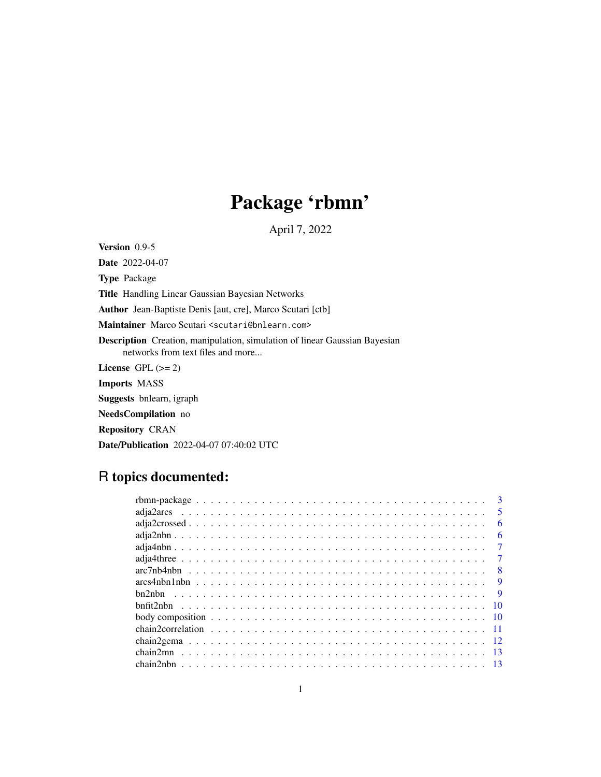# Package 'rbmn'

April 7, 2022

Version 0.9-5

Date 2022-04-07 Type Package Title Handling Linear Gaussian Bayesian Networks Author Jean-Baptiste Denis [aut, cre], Marco Scutari [ctb] Maintainer Marco Scutari <scutari@bnlearn.com> Description Creation, manipulation, simulation of linear Gaussian Bayesian networks from text files and more... License GPL  $(>= 2)$ Imports MASS Suggests bnlearn, igraph NeedsCompilation no Repository CRAN Date/Publication 2022-04-07 07:40:02 UTC

## R topics documented:

|                                                                                                        | 3                       |
|--------------------------------------------------------------------------------------------------------|-------------------------|
|                                                                                                        | $\overline{\mathbf{5}}$ |
|                                                                                                        | 6                       |
|                                                                                                        | 6                       |
|                                                                                                        | 7                       |
|                                                                                                        |                         |
|                                                                                                        | -8                      |
|                                                                                                        | 9                       |
|                                                                                                        | -9                      |
|                                                                                                        | -10                     |
| body composition $\ldots \ldots \ldots \ldots \ldots \ldots \ldots \ldots \ldots \ldots \ldots \ldots$ |                         |
|                                                                                                        |                         |
|                                                                                                        |                         |
|                                                                                                        |                         |
|                                                                                                        |                         |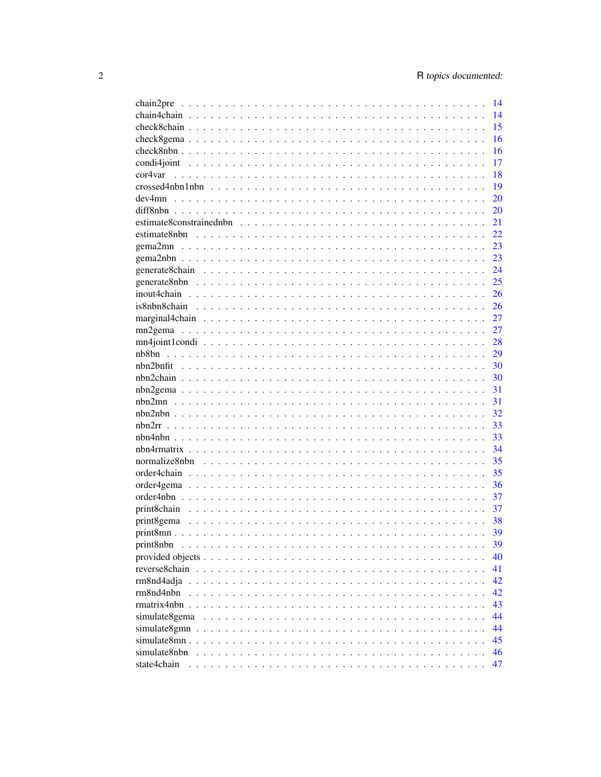| chain2pre                                                                                               | 14 |
|---------------------------------------------------------------------------------------------------------|----|
|                                                                                                         | 14 |
|                                                                                                         | 15 |
|                                                                                                         | 16 |
|                                                                                                         | 16 |
|                                                                                                         | 17 |
| cor4var                                                                                                 | 18 |
| $crossed 4nbn 1nbn \dots \dots \dots \dots \dots \dots \dots \dots \dots \dots \dots \dots \dots \dots$ | 19 |
|                                                                                                         | 20 |
|                                                                                                         | 20 |
|                                                                                                         | 21 |
|                                                                                                         | 22 |
|                                                                                                         | 23 |
|                                                                                                         | 23 |
|                                                                                                         | 24 |
|                                                                                                         | 25 |
|                                                                                                         | 26 |
|                                                                                                         | 26 |
|                                                                                                         | 27 |
|                                                                                                         | 27 |
|                                                                                                         | 28 |
|                                                                                                         | 29 |
|                                                                                                         | 30 |
|                                                                                                         | 30 |
|                                                                                                         |    |
|                                                                                                         | 31 |
|                                                                                                         | 31 |
|                                                                                                         | 32 |
|                                                                                                         | 33 |
|                                                                                                         | 33 |
|                                                                                                         | 34 |
|                                                                                                         | 35 |
|                                                                                                         | 35 |
|                                                                                                         | 36 |
|                                                                                                         | 37 |
|                                                                                                         | 37 |
|                                                                                                         | 38 |
|                                                                                                         | 39 |
| print8nbn                                                                                               | 39 |
|                                                                                                         | 40 |
|                                                                                                         | 41 |
| rm8nd4adja                                                                                              | 42 |
| rm8nd4nbn                                                                                               | 42 |
|                                                                                                         | 43 |
| simulate8gema                                                                                           | 44 |
|                                                                                                         | 44 |
|                                                                                                         | 45 |
| simulate8nbn                                                                                            | 46 |
| state4chain                                                                                             | 47 |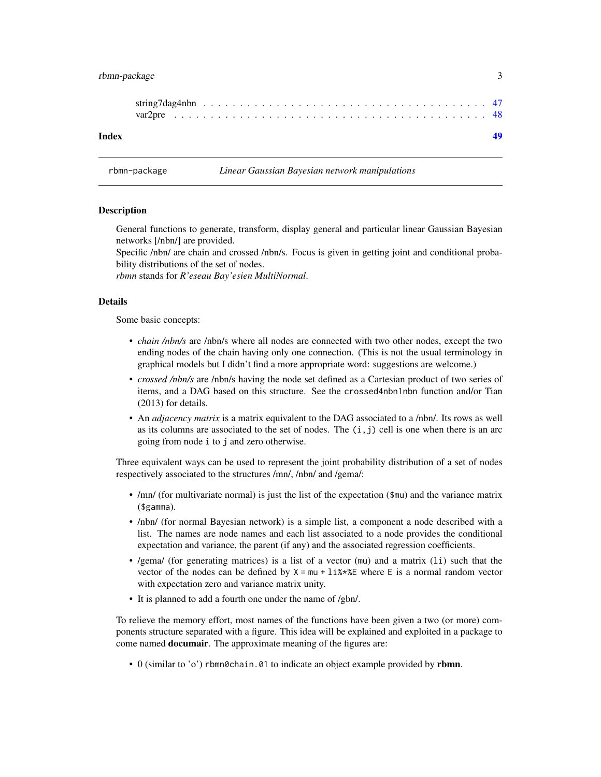### <span id="page-2-0"></span>rbmn-package 3

| Index |  |  |  |  |  |  |  |  |  |  |  |  |  |  |  |  |  |  |  |  |
|-------|--|--|--|--|--|--|--|--|--|--|--|--|--|--|--|--|--|--|--|--|

rbmn-package *Linear Gaussian Bayesian network manipulations*

#### Description

General functions to generate, transform, display general and particular linear Gaussian Bayesian networks [/nbn/] are provided.

Specific /nbn/ are chain and crossed /nbn/s. Focus is given in getting joint and conditional probability distributions of the set of nodes.

*rbmn* stands for *R'eseau Bay'esien MultiNormal*.

### Details

Some basic concepts:

- *chain /nbn/s* are /nbn/s where all nodes are connected with two other nodes, except the two ending nodes of the chain having only one connection. (This is not the usual terminology in graphical models but I didn't find a more appropriate word: suggestions are welcome.)
- *crossed /nbn/s* are /nbn/s having the node set defined as a Cartesian product of two series of items, and a DAG based on this structure. See the crossed4nbn1nbn function and/or Tian (2013) for details.
- An *adjacency matrix* is a matrix equivalent to the DAG associated to a /nbn/. Its rows as well as its columns are associated to the set of nodes. The  $(i, j)$  cell is one when there is an arc going from node i to j and zero otherwise.

Three equivalent ways can be used to represent the joint probability distribution of a set of nodes respectively associated to the structures /mn/, /nbn/ and /gema/:

- /mn/ (for multivariate normal) is just the list of the expectation (\$mu) and the variance matrix (\$gamma).
- /nbn/ (for normal Bayesian network) is a simple list, a component a node described with a list. The names are node names and each list associated to a node provides the conditional expectation and variance, the parent (if any) and the associated regression coefficients.
- /gema/ (for generating matrices) is a list of a vector (mu) and a matrix (li) such that the vector of the nodes can be defined by  $X = mu + \frac{1 \cdot 3 \cdot 2 \cdot 5}{1 \cdot 3 \cdot 2 \cdot 5}$  where E is a normal random vector with expectation zero and variance matrix unity.
- It is planned to add a fourth one under the name of /gbn/.

To relieve the memory effort, most names of the functions have been given a two (or more) components structure separated with a figure. This idea will be explained and exploited in a package to come named **documair**. The approximate meaning of the figures are:

• 0 (similar to 'o') rbmn0chain.01 to indicate an object example provided by rbmn.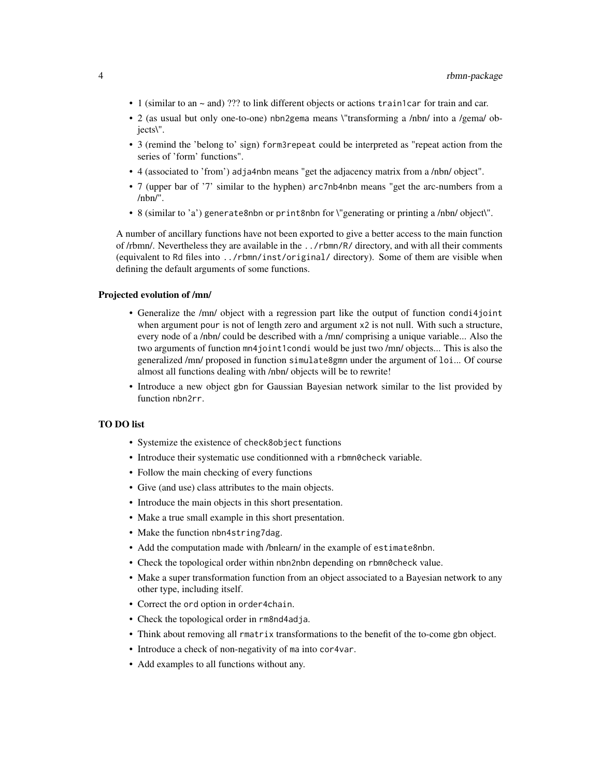- 1 (similar to an  $\sim$  and) ??? to link different objects or actions train1car for train and car.
- 2 (as usual but only one-to-one) nbn2gema means \"transforming a /nbn/ into a /gema/ objects\".
- 3 (remind the 'belong to' sign) form3repeat could be interpreted as "repeat action from the series of 'form' functions".
- 4 (associated to 'from') adja4nbn means "get the adjacency matrix from a /nbn/ object".
- 7 (upper bar of '7' similar to the hyphen) arc7nb4nbn means "get the arc-numbers from a /nbn/".
- 8 (similar to 'a') generate8nbn or print8nbn for \"generating or printing a /nbn/ object\".

A number of ancillary functions have not been exported to give a better access to the main function of /rbmn/. Nevertheless they are available in the ../rbmn/R/ directory, and with all their comments (equivalent to Rd files into ../rbmn/inst/original/ directory). Some of them are visible when defining the default arguments of some functions.

#### Projected evolution of /mn/

- Generalize the /mn/ object with a regression part like the output of function condi4joint when argument pour is not of length zero and argument x2 is not null. With such a structure, every node of a /nbn/ could be described with a /mn/ comprising a unique variable... Also the two arguments of function mn4joint1condi would be just two /mn/ objects... This is also the generalized /mn/ proposed in function simulate8gmn under the argument of loi... Of course almost all functions dealing with /nbn/ objects will be to rewrite!
- Introduce a new object gbn for Gaussian Bayesian network similar to the list provided by function nbn2rr.

#### TO DO list

- Systemize the existence of check8object functions
- Introduce their systematic use conditionned with a rbmn0check variable.
- Follow the main checking of every functions
- Give (and use) class attributes to the main objects.
- Introduce the main objects in this short presentation.
- Make a true small example in this short presentation.
- Make the function nbn4string7dag.
- Add the computation made with /bnlearn/ in the example of estimate8nbn.
- Check the topological order within nbn2nbn depending on rbmn0check value.
- Make a super transformation function from an object associated to a Bayesian network to any other type, including itself.
- Correct the ord option in order4chain.
- Check the topological order in rm8nd4adja.
- Think about removing all rmatrix transformations to the benefit of the to-come gbn object.
- Introduce a check of non-negativity of ma into cor4var.
- Add examples to all functions without any.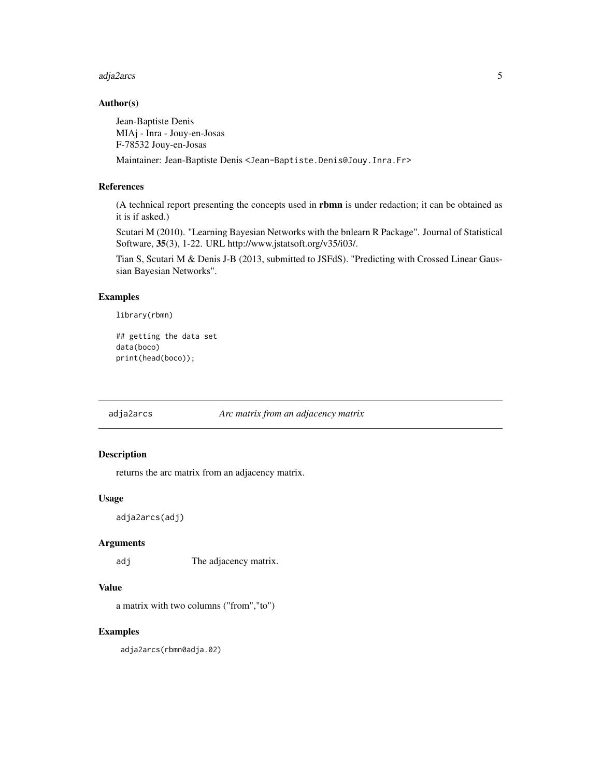#### <span id="page-4-0"></span>adja2arcs 5

#### Author(s)

Jean-Baptiste Denis MIAj - Inra - Jouy-en-Josas F-78532 Jouy-en-Josas

Maintainer: Jean-Baptiste Denis <Jean-Baptiste.Denis@Jouy.Inra.Fr>

### References

(A technical report presenting the concepts used in rbmn is under redaction; it can be obtained as it is if asked.)

Scutari M (2010). "Learning Bayesian Networks with the bnlearn R Package". Journal of Statistical Software, 35(3), 1-22. URL http://www.jstatsoft.org/v35/i03/.

Tian S, Scutari M & Denis J-B (2013, submitted to JSFdS). "Predicting with Crossed Linear Gaussian Bayesian Networks".

### Examples

library(rbmn)

```
## getting the data set
data(boco)
print(head(boco));
```
adja2arcs *Arc matrix from an adjacency matrix*

### Description

returns the arc matrix from an adjacency matrix.

### Usage

adja2arcs(adj)

#### Arguments

adj The adjacency matrix.

### Value

a matrix with two columns ("from","to")

### Examples

adja2arcs(rbmn0adja.02)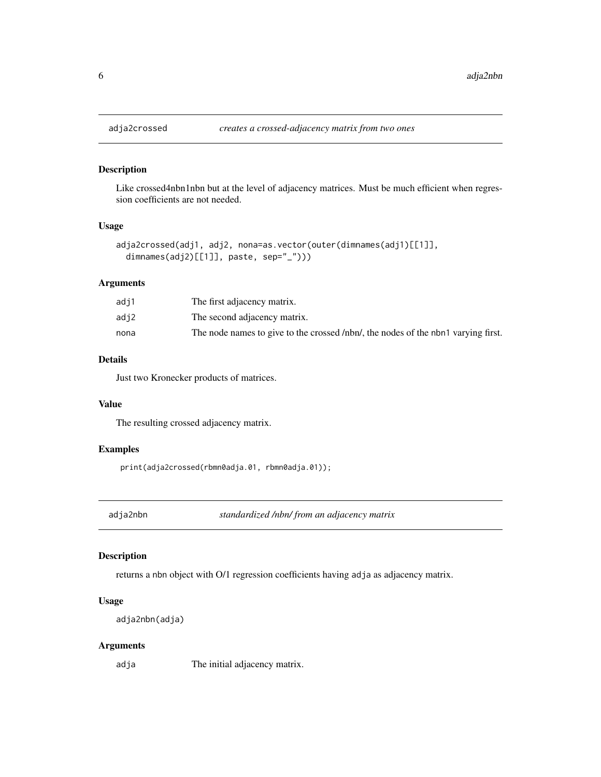Like crossed4nbn1nbn but at the level of adjacency matrices. Must be much efficient when regression coefficients are not needed.

### Usage

```
adja2crossed(adj1, adj2, nona=as.vector(outer(dimnames(adj1)[[1]],
 dimnames(adj2)[[1]], paste, sep="_")))
```
### Arguments

| adj1 | The first adjacency matrix.                                                       |
|------|-----------------------------------------------------------------------------------|
| adj2 | The second adjacency matrix.                                                      |
| nona | The node names to give to the crossed /nbn/, the nodes of the nbn1 varying first. |

### Details

Just two Kronecker products of matrices.

### Value

The resulting crossed adjacency matrix.

#### Examples

print(adja2crossed(rbmn0adja.01, rbmn0adja.01));

adja2nbn *standardized /nbn/ from an adjacency matrix*

### Description

returns a nbn object with O/1 regression coefficients having adja as adjacency matrix.

#### Usage

```
adja2nbn(adja)
```
### Arguments

adja The initial adjacency matrix.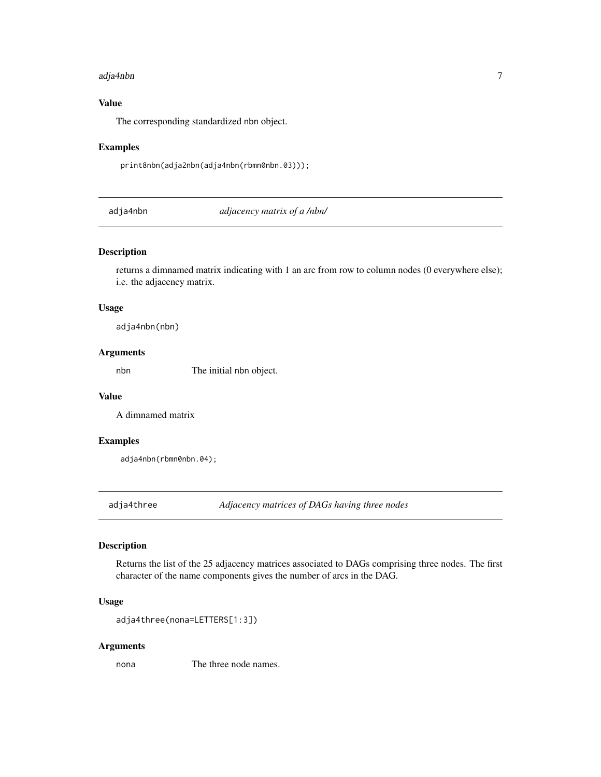#### <span id="page-6-0"></span>adja4nbn 7

### Value

The corresponding standardized nbn object.

#### Examples

print8nbn(adja2nbn(adja4nbn(rbmn0nbn.03)));

adja4nbn *adjacency matrix of a /nbn/*

### Description

returns a dimnamed matrix indicating with 1 an arc from row to column nodes (0 everywhere else); i.e. the adjacency matrix.

#### Usage

adja4nbn(nbn)

### Arguments

nbn The initial nbn object.

#### Value

A dimnamed matrix

#### Examples

adja4nbn(rbmn0nbn.04);

adja4three *Adjacency matrices of DAGs having three nodes*

### Description

Returns the list of the 25 adjacency matrices associated to DAGs comprising three nodes. The first character of the name components gives the number of arcs in the DAG.

#### Usage

```
adja4three(nona=LETTERS[1:3])
```
#### Arguments

nona The three node names.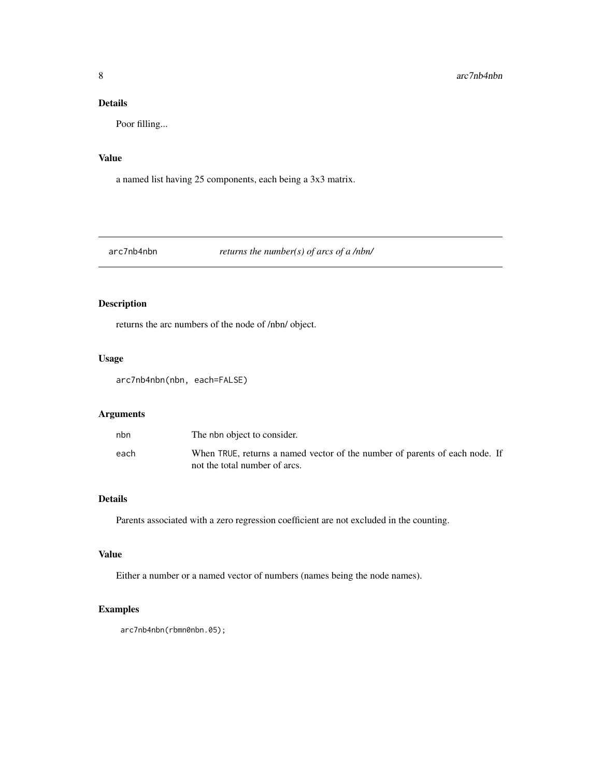### <span id="page-7-0"></span>Details

Poor filling...

### Value

a named list having 25 components, each being a 3x3 matrix.

### arc7nb4nbn *returns the number(s) of arcs of a /nbn/*

### Description

returns the arc numbers of the node of /nbn/ object.

### Usage

arc7nb4nbn(nbn, each=FALSE)

### Arguments

| nbn  | The nbn object to consider.                                                                                  |
|------|--------------------------------------------------------------------------------------------------------------|
| each | When TRUE, returns a named vector of the number of parents of each node. If<br>not the total number of arcs. |

### Details

Parents associated with a zero regression coefficient are not excluded in the counting.

### Value

Either a number or a named vector of numbers (names being the node names).

### Examples

arc7nb4nbn(rbmn0nbn.05);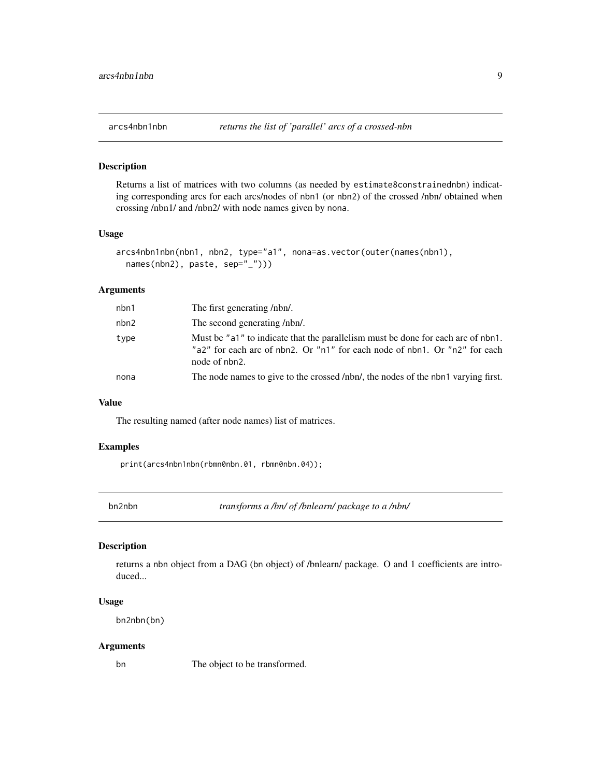<span id="page-8-0"></span>

Returns a list of matrices with two columns (as needed by estimate8constrainednbn) indicating corresponding arcs for each arcs/nodes of nbn1 (or nbn2) of the crossed /nbn/ obtained when crossing /nbn1/ and /nbn2/ with node names given by nona.

#### Usage

```
arcs4nbn1nbn(nbn1, nbn2, type="a1", nona=as.vector(outer(names(nbn1),
  names(nbn2), paste, sep="_")))
```
#### Arguments

| nbn1 | The first generating /nbn/.                                                                                                                                                     |
|------|---------------------------------------------------------------------------------------------------------------------------------------------------------------------------------|
| nbn2 | The second generating /nbn/.                                                                                                                                                    |
| type | Must be "a1" to indicate that the parallelism must be done for each arc of nbn1.<br>"a2" for each arc of nbn2. Or "n1" for each node of nbn1. Or "n2" for each<br>node of nbn2. |
| nona | The node names to give to the crossed /nbn/, the nodes of the nbn1 varying first.                                                                                               |

#### Value

The resulting named (after node names) list of matrices.

#### Examples

print(arcs4nbn1nbn(rbmn0nbn.01, rbmn0nbn.04));

bn2nbn *transforms a /bn/ of /bnlearn/ package to a /nbn/*

### Description

returns a nbn object from a DAG (bn object) of /bnlearn/ package. O and 1 coefficients are introduced...

#### Usage

bn2nbn(bn)

#### Arguments

bn The object to be transformed.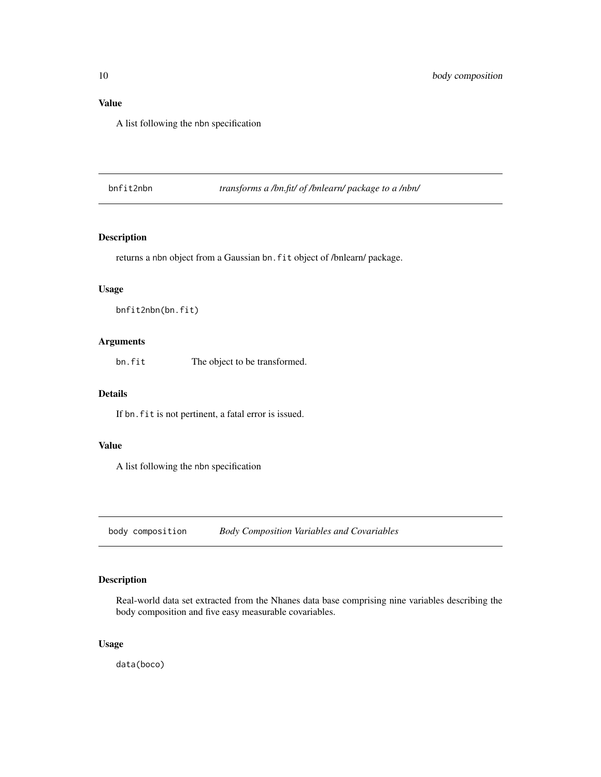### <span id="page-9-0"></span>Value

A list following the nbn specification

bnfit2nbn *transforms a /bn.fit/ of /bnlearn/ package to a /nbn/*

### Description

returns a nbn object from a Gaussian bn.fit object of /bnlearn/ package.

#### Usage

```
bnfit2nbn(bn.fit)
```
### Arguments

bn.fit The object to be transformed.

### Details

If bn. fit is not pertinent, a fatal error is issued.

### Value

A list following the nbn specification

body composition *Body Composition Variables and Covariables*

### Description

Real-world data set extracted from the Nhanes data base comprising nine variables describing the body composition and five easy measurable covariables.

### Usage

data(boco)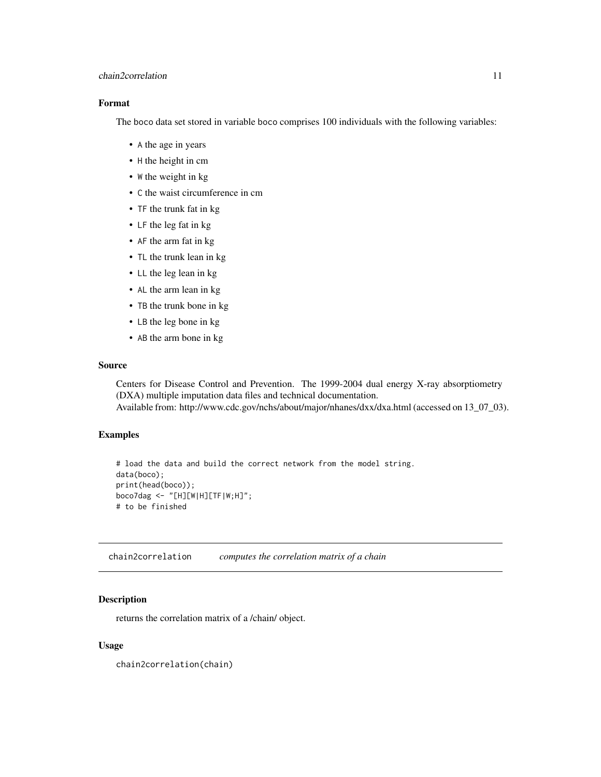### <span id="page-10-0"></span>chain2correlation 11

### Format

The boco data set stored in variable boco comprises 100 individuals with the following variables:

- A the age in years
- H the height in cm
- W the weight in kg
- C the waist circumference in cm
- TF the trunk fat in kg
- LF the leg fat in kg
- AF the arm fat in kg
- TL the trunk lean in kg
- LL the leg lean in kg
- AL the arm lean in kg
- TB the trunk bone in kg
- LB the leg bone in kg
- AB the arm bone in kg

#### Source

Centers for Disease Control and Prevention. The 1999-2004 dual energy X-ray absorptiometry (DXA) multiple imputation data files and technical documentation. Available from: http://www.cdc.gov/nchs/about/major/nhanes/dxx/dxa.html (accessed on 13\_07\_03).

#### Examples

```
# load the data and build the correct network from the model string.
data(boco);
print(head(boco));
boco7dag <- "[H][W|H][TF|W;H]";
# to be finished
```
chain2correlation *computes the correlation matrix of a chain*

### Description

returns the correlation matrix of a /chain/ object.

#### Usage

chain2correlation(chain)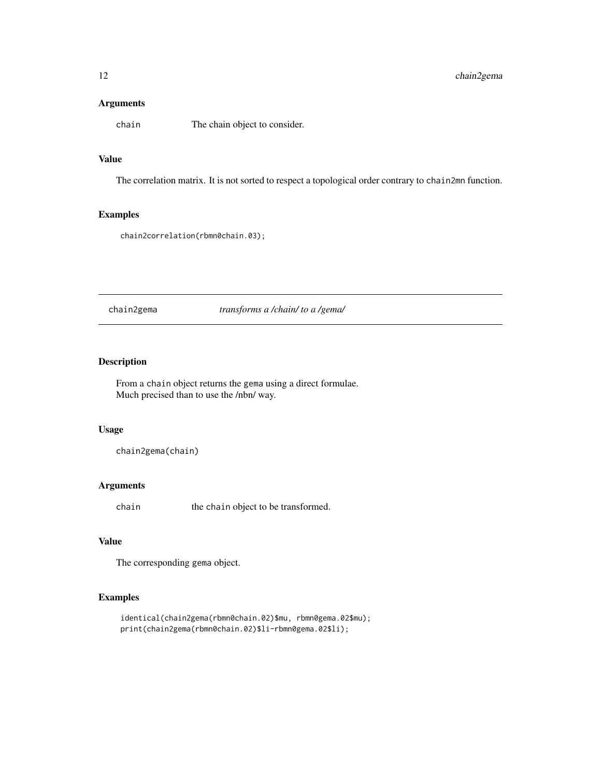### <span id="page-11-0"></span>Arguments

chain The chain object to consider.

### Value

The correlation matrix. It is not sorted to respect a topological order contrary to chain2mn function.

### Examples

chain2correlation(rbmn0chain.03);

chain2gema *transforms a /chain/ to a /gema/*

### Description

From a chain object returns the gema using a direct formulae. Much precised than to use the /nbn/ way.

#### Usage

chain2gema(chain)

### Arguments

chain the chain object to be transformed.

### Value

The corresponding gema object.

### Examples

```
identical(chain2gema(rbmn0chain.02)$mu, rbmn0gema.02$mu);
print(chain2gema(rbmn0chain.02)$li-rbmn0gema.02$li);
```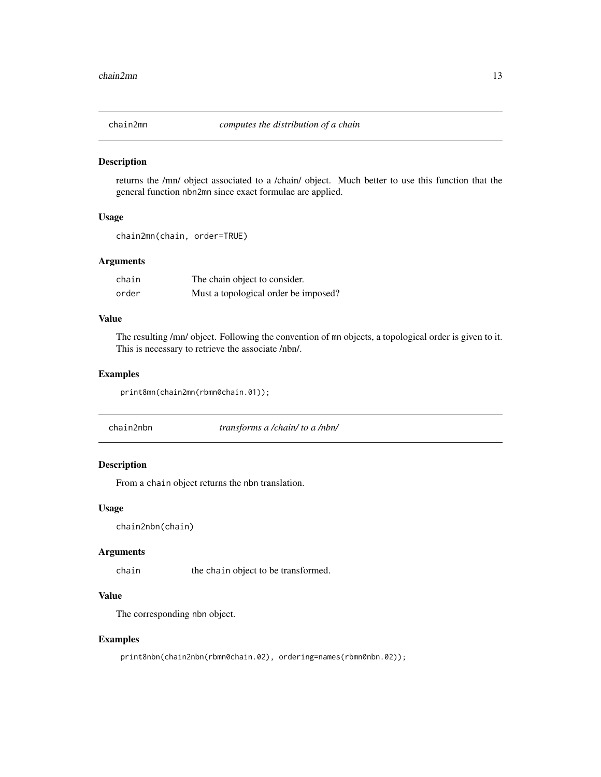<span id="page-12-0"></span>

returns the /mn/ object associated to a /chain/ object. Much better to use this function that the general function nbn2mn since exact formulae are applied.

#### Usage

```
chain2mn(chain, order=TRUE)
```
#### Arguments

| chain | The chain object to consider.        |
|-------|--------------------------------------|
| order | Must a topological order be imposed? |

### Value

The resulting /mn/ object. Following the convention of mn objects, a topological order is given to it. This is necessary to retrieve the associate /nbn/.

#### Examples

print8mn(chain2mn(rbmn0chain.01));

| chain2nbn | transforms a /chain/ to a /nbn/ |  |
|-----------|---------------------------------|--|
|-----------|---------------------------------|--|

### Description

From a chain object returns the nbn translation.

#### Usage

chain2nbn(chain)

#### Arguments

chain the chain object to be transformed.

#### Value

The corresponding nbn object.

#### Examples

print8nbn(chain2nbn(rbmn0chain.02), ordering=names(rbmn0nbn.02));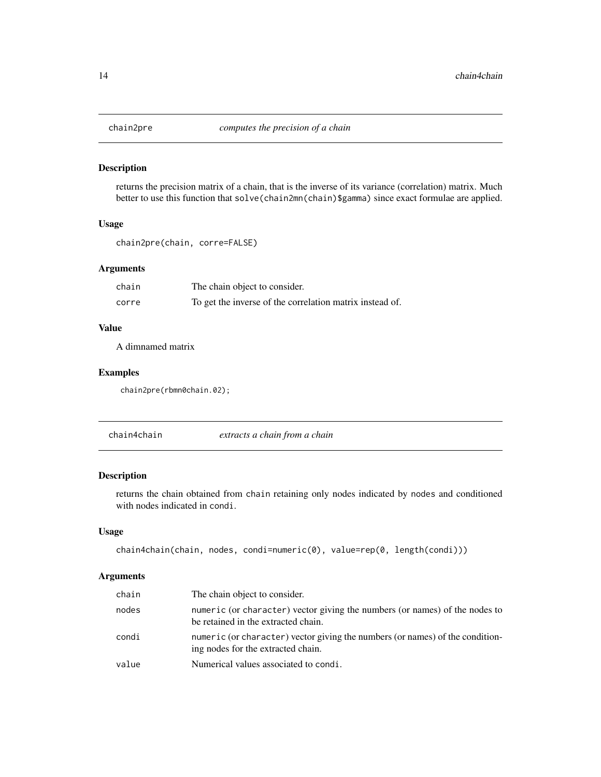<span id="page-13-0"></span>

returns the precision matrix of a chain, that is the inverse of its variance (correlation) matrix. Much better to use this function that solve(chain2mn(chain)\$gamma) since exact formulae are applied.

#### Usage

```
chain2pre(chain, corre=FALSE)
```
#### Arguments

| chain | The chain object to consider.                            |
|-------|----------------------------------------------------------|
| corre | To get the inverse of the correlation matrix instead of. |

### Value

A dimnamed matrix

### Examples

```
chain2pre(rbmn0chain.02);
```
chain4chain *extracts a chain from a chain*

### Description

returns the chain obtained from chain retaining only nodes indicated by nodes and conditioned with nodes indicated in condi.

#### Usage

```
chain4chain(chain, nodes, condi=numeric(0), value=rep(0, length(condi)))
```
#### Arguments

| chain | The chain object to consider.                                                                                       |
|-------|---------------------------------------------------------------------------------------------------------------------|
| nodes | numeric (or character) vector giving the numbers (or names) of the nodes to<br>be retained in the extracted chain.  |
| condi | numeric (or character) vector giving the numbers (or names) of the condition-<br>ing nodes for the extracted chain. |
| value | Numerical values associated to condi.                                                                               |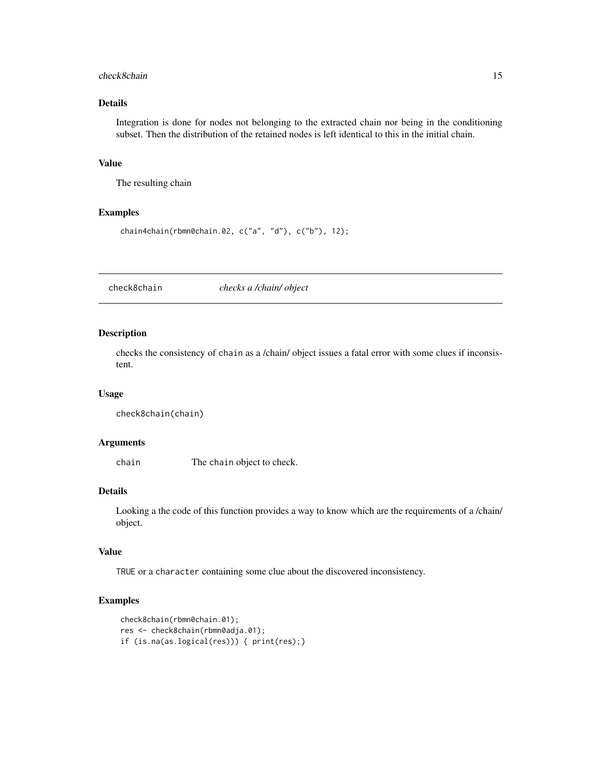#### <span id="page-14-0"></span>check8chain 15

### Details

Integration is done for nodes not belonging to the extracted chain nor being in the conditioning subset. Then the distribution of the retained nodes is left identical to this in the initial chain.

#### Value

The resulting chain

#### Examples

```
chain4chain(rbmn0chain.02, c("a", "d"), c("b"), 12);
```
check8chain *checks a /chain/ object*

#### Description

checks the consistency of chain as a /chain/ object issues a fatal error with some clues if inconsistent.

#### Usage

```
check8chain(chain)
```
### Arguments

chain The chain object to check.

### Details

Looking a the code of this function provides a way to know which are the requirements of a /chain/ object.

#### Value

TRUE or a character containing some clue about the discovered inconsistency.

### Examples

```
check8chain(rbmn0chain.01);
res <- check8chain(rbmn0adja.01);
if (is.na(as.logical(res))) { print(res);}
```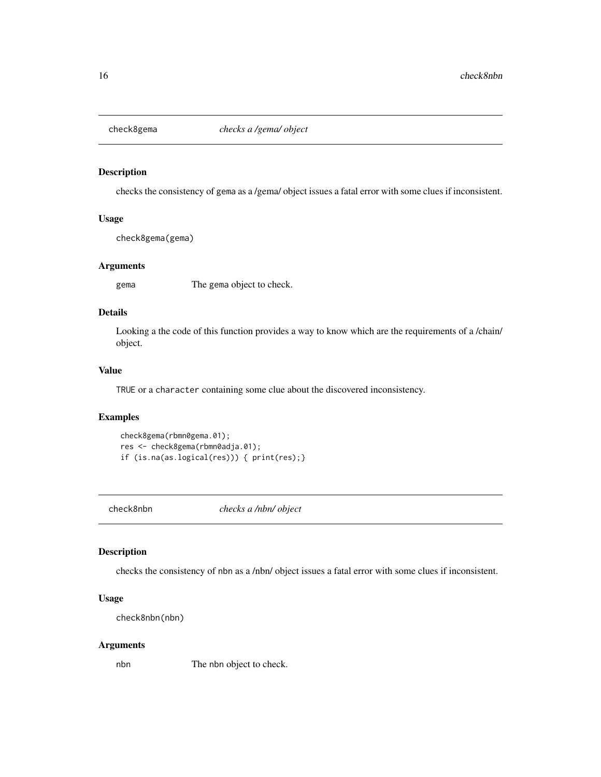<span id="page-15-0"></span>

checks the consistency of gema as a /gema/ object issues a fatal error with some clues if inconsistent.

### Usage

check8gema(gema)

### Arguments

gema The gema object to check.

### Details

Looking a the code of this function provides a way to know which are the requirements of a /chain/ object.

#### Value

TRUE or a character containing some clue about the discovered inconsistency.

### Examples

```
check8gema(rbmn0gema.01);
res <- check8gema(rbmn0adja.01);
if (is.na(as.logical(res))) { print(res);}
```
check8nbn *checks a /nbn/ object*

### Description

checks the consistency of nbn as a /nbn/ object issues a fatal error with some clues if inconsistent.

### Usage

```
check8nbn(nbn)
```
#### Arguments

nbn The nbn object to check.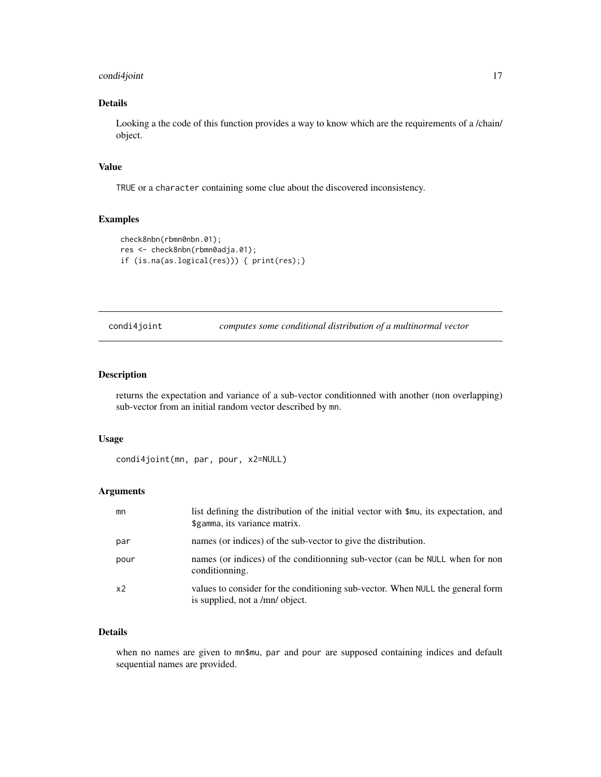### <span id="page-16-0"></span>condi4joint 17

### Details

Looking a the code of this function provides a way to know which are the requirements of a /chain/ object.

### Value

TRUE or a character containing some clue about the discovered inconsistency.

#### Examples

```
check8nbn(rbmn0nbn.01);
res <- check8nbn(rbmn0adja.01);
if (is.na(as.logical(res))) { print(res);}
```
condi4joint *computes some conditional distribution of a multinormal vector*

#### Description

returns the expectation and variance of a sub-vector conditionned with another (non overlapping) sub-vector from an initial random vector described by mn.

### Usage

```
condi4joint(mn, par, pour, x2=NULL)
```
### Arguments

| mn             | list defining the distribution of the initial vector with \$mu, its expectation, and<br>\$gamma, its variance matrix. |
|----------------|-----------------------------------------------------------------------------------------------------------------------|
| par            | names (or indices) of the sub-vector to give the distribution.                                                        |
| pour           | names (or indices) of the conditionning sub-vector (can be NULL when for non<br>conditionning.                        |
| x <sub>2</sub> | values to consider for the conditioning sub-vector. When NULL the general form<br>is supplied, not a /mn/ object.     |

#### Details

when no names are given to mn\$mu, par and pour are supposed containing indices and default sequential names are provided.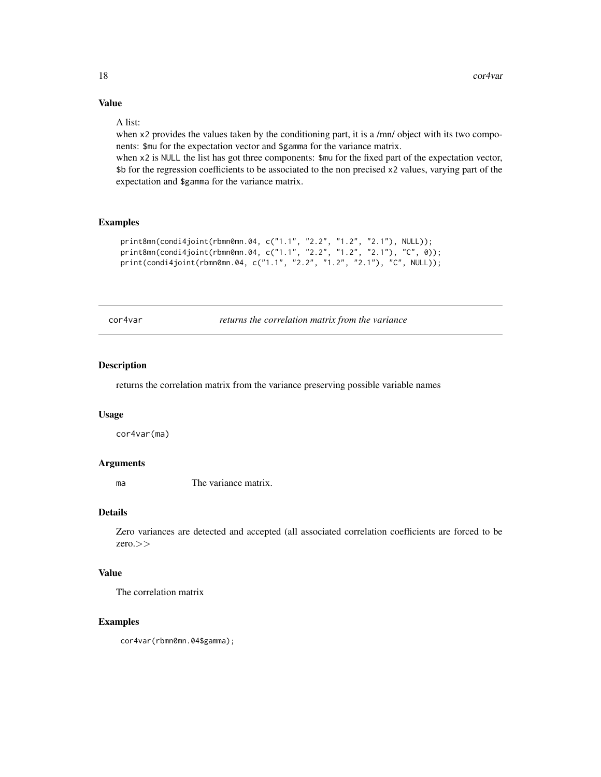## Value

#### A list:

when x2 provides the values taken by the conditioning part, it is a /mn/ object with its two components: \$mu for the expectation vector and \$gamma for the variance matrix.

when x2 is NULL the list has got three components:  $\text{\$mu}$  for the fixed part of the expectation vector, \$b for the regression coefficients to be associated to the non precised x2 values, varying part of the expectation and \$gamma for the variance matrix.

#### Examples

```
print8mn(condi4joint(rbmn0mn.04, c("1.1", "2.2", "1.2", "2.1"), NULL));
print8mn(condi4joint(rbmn0mn.04, c("1.1", "2.2", "1.2", "2.1"), "C", 0));
print(condi4joint(rbmn0mn.04, c("1.1", "2.2", "1.2", "2.1"), "C", NULL));
```
cor4var *returns the correlation matrix from the variance*

#### Description

returns the correlation matrix from the variance preserving possible variable names

### Usage

cor4var(ma)

#### Arguments

ma The variance matrix.

#### Details

Zero variances are detected and accepted (all associated correlation coefficients are forced to be zero.>>

### Value

The correlation matrix

### Examples

cor4var(rbmn0mn.04\$gamma);

<span id="page-17-0"></span>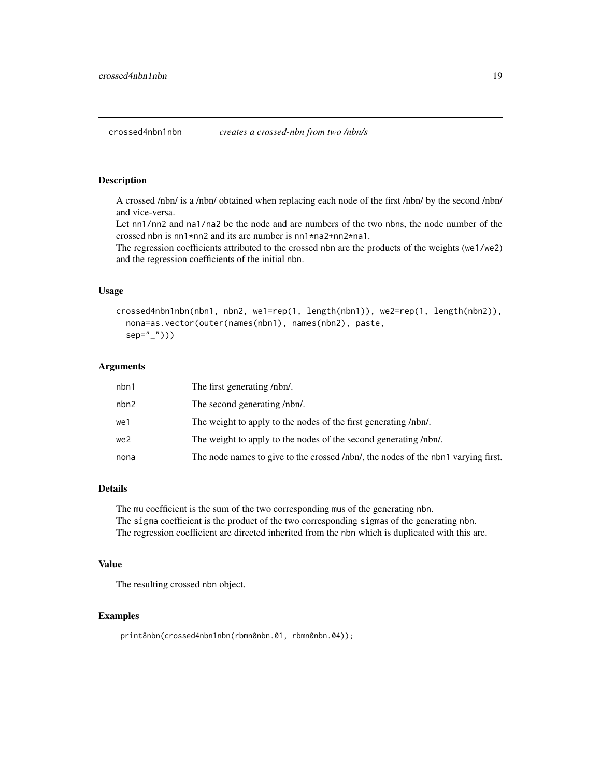<span id="page-18-0"></span>A crossed /nbn/ is a /nbn/ obtained when replacing each node of the first /nbn/ by the second /nbn/ and vice-versa.

Let nn1/nn2 and na1/na2 be the node and arc numbers of the two nbns, the node number of the crossed nbn is nn1\*nn2 and its arc number is nn1\*na2+nn2\*na1.

The regression coefficients attributed to the crossed nbn are the products of the weights (we1/we2) and the regression coefficients of the initial nbn.

#### Usage

```
crossed4nbn1nbn(nbn1, nbn2, we1=rep(1, length(nbn1)), we2=rep(1, length(nbn2)),
  nona=as.vector(outer(names(nbn1), names(nbn2), paste,
  sep="_")))
```
### Arguments

| nbn1 | The first generating /nbn/.                                                       |
|------|-----------------------------------------------------------------------------------|
| nbn2 | The second generating /nbn/.                                                      |
| we1  | The weight to apply to the nodes of the first generating /nbn/.                   |
| we2  | The weight to apply to the nodes of the second generating /nbn/.                  |
| nona | The node names to give to the crossed /nbn/, the nodes of the nbn1 varying first. |

#### Details

The mu coefficient is the sum of the two corresponding mus of the generating nbn. The sigma coefficient is the product of the two corresponding sigmas of the generating nbn. The regression coefficient are directed inherited from the nbn which is duplicated with this arc.

#### Value

The resulting crossed nbn object.

#### Examples

```
print8nbn(crossed4nbn1nbn(rbmn0nbn.01, rbmn0nbn.04));
```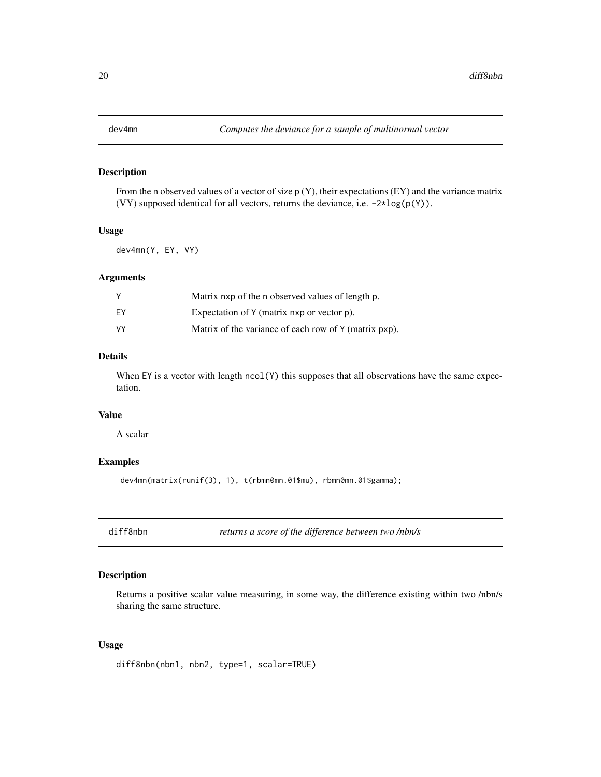<span id="page-19-0"></span>

From the n observed values of a vector of size  $p(Y)$ , their expectations  $(EY)$  and the variance matrix (VY) supposed identical for all vectors, returns the deviance, i.e. -2\*log(p(Y)).

#### Usage

dev4mn(Y, EY, VY)

### Arguments

|    | Matrix nxp of the n observed values of length p.      |
|----|-------------------------------------------------------|
| ΕY | Expectation of Y (matrix nxp or vector p).            |
| VY | Matrix of the variance of each row of Y (matrix pxp). |

### Details

When EY is a vector with length ncol(Y) this supposes that all observations have the same expectation.

### Value

A scalar

### Examples

```
dev4mn(matrix(runif(3), 1), t(rbmn0mn.01$mu), rbmn0mn.01$gamma);
```
diff8nbn *returns a score of the difference between two /nbn/s*

### Description

Returns a positive scalar value measuring, in some way, the difference existing within two /nbn/s sharing the same structure.

#### Usage

```
diff8nbn(nbn1, nbn2, type=1, scalar=TRUE)
```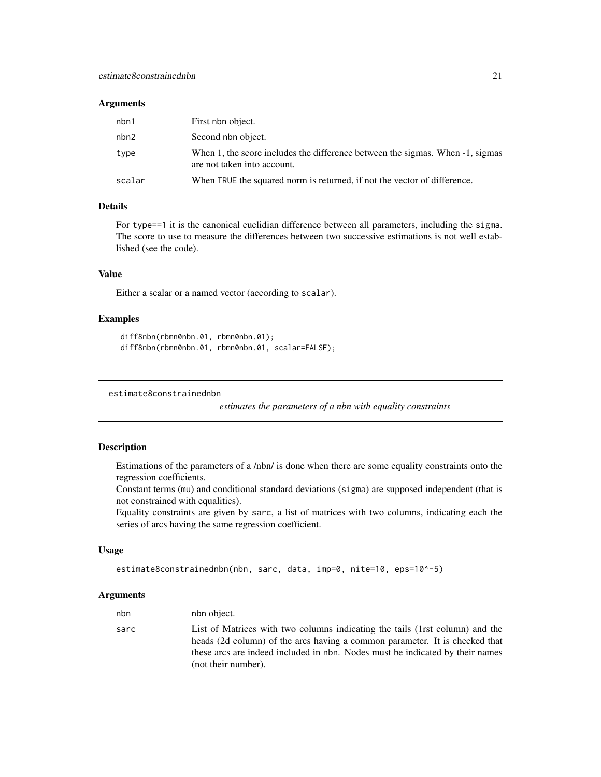#### <span id="page-20-0"></span>**Arguments**

| nbn1   | First nbn object.                                                                                            |
|--------|--------------------------------------------------------------------------------------------------------------|
| nbn2   | Second nbn object.                                                                                           |
| type   | When 1, the score includes the difference between the sigmas. When -1, sigmas<br>are not taken into account. |
| scalar | When TRUE the squared norm is returned, if not the vector of difference.                                     |

### Details

For type==1 it is the canonical euclidian difference between all parameters, including the sigma. The score to use to measure the differences between two successive estimations is not well established (see the code).

### Value

Either a scalar or a named vector (according to scalar).

### Examples

```
diff8nbn(rbmn0nbn.01, rbmn0nbn.01);
diff8nbn(rbmn0nbn.01, rbmn0nbn.01, scalar=FALSE);
```
estimate8constrainednbn

*estimates the parameters of a nbn with equality constraints*

### Description

Estimations of the parameters of a /nbn/ is done when there are some equality constraints onto the regression coefficients.

Constant terms (mu) and conditional standard deviations (sigma) are supposed independent (that is not constrained with equalities).

Equality constraints are given by sarc, a list of matrices with two columns, indicating each the series of arcs having the same regression coefficient.

### Usage

```
estimate8constrainednbn(nbn, sarc, data, imp=0, nite=10, eps=10^-5)
```
#### Arguments

| nbn  | nbn object.                                                                                                                                                 |
|------|-------------------------------------------------------------------------------------------------------------------------------------------------------------|
| sarc | List of Matrices with two columns indicating the tails (1rst column) and the<br>heads (2d column) of the arcs having a common parameter. It is checked that |
|      | these arcs are indeed included in nbn. Nodes must be indicated by their names<br>(not their number).                                                        |
|      |                                                                                                                                                             |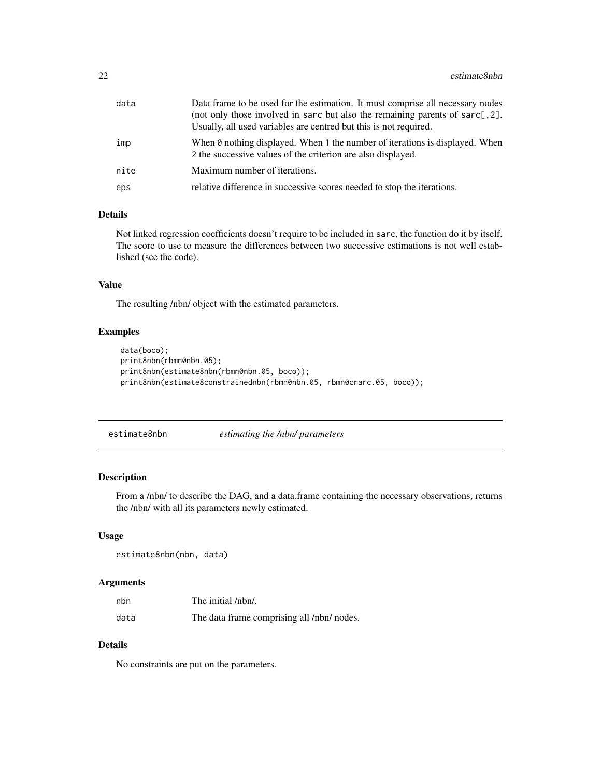<span id="page-21-0"></span>

| data | Data frame to be used for the estimation. It must comprise all necessary nodes<br>(not only those involved in sarc but also the remaining parents of sarc[,2].<br>Usually, all used variables are centred but this is not required. |
|------|-------------------------------------------------------------------------------------------------------------------------------------------------------------------------------------------------------------------------------------|
| imp  | When 0 nothing displayed. When 1 the number of iterations is displayed. When<br>2 the successive values of the criterion are also displayed.                                                                                        |
| nite | Maximum number of iterations.                                                                                                                                                                                                       |
| eps  | relative difference in successive scores needed to stop the iterations.                                                                                                                                                             |

#### Details

Not linked regression coefficients doesn't require to be included in sarc, the function do it by itself. The score to use to measure the differences between two successive estimations is not well established (see the code).

### Value

The resulting /nbn/ object with the estimated parameters.

### Examples

```
data(boco);
print8nbn(rbmn0nbn.05);
print8nbn(estimate8nbn(rbmn0nbn.05, boco));
print8nbn(estimate8constrainednbn(rbmn0nbn.05, rbmn0crarc.05, boco));
```
estimate8nbn *estimating the /nbn/ parameters*

### Description

From a /nbn/ to describe the DAG, and a data.frame containing the necessary observations, returns the /nbn/ with all its parameters newly estimated.

#### Usage

```
estimate8nbn(nbn, data)
```
### Arguments

| nbn  | The initial /nbn/.                         |
|------|--------------------------------------------|
| data | The data frame comprising all /nbn/ nodes. |

### Details

No constraints are put on the parameters.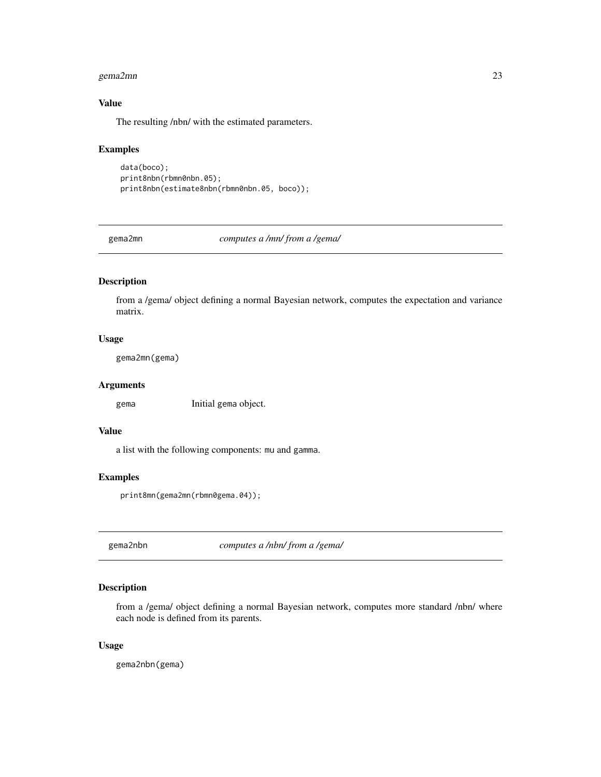#### <span id="page-22-0"></span>gema2mn 23

### Value

The resulting /nbn/ with the estimated parameters.

#### Examples

```
data(boco);
print8nbn(rbmn0nbn.05);
print8nbn(estimate8nbn(rbmn0nbn.05, boco));
```
gema2mn *computes a /mn/ from a /gema/*

### Description

from a /gema/ object defining a normal Bayesian network, computes the expectation and variance matrix.

### Usage

gema2mn(gema)

#### Arguments

gema Initial gema object.

### Value

a list with the following components: mu and gamma.

### Examples

```
print8mn(gema2mn(rbmn0gema.04));
```
gema2nbn *computes a /nbn/ from a /gema/*

### Description

from a /gema/ object defining a normal Bayesian network, computes more standard /nbn/ where each node is defined from its parents.

#### Usage

gema2nbn(gema)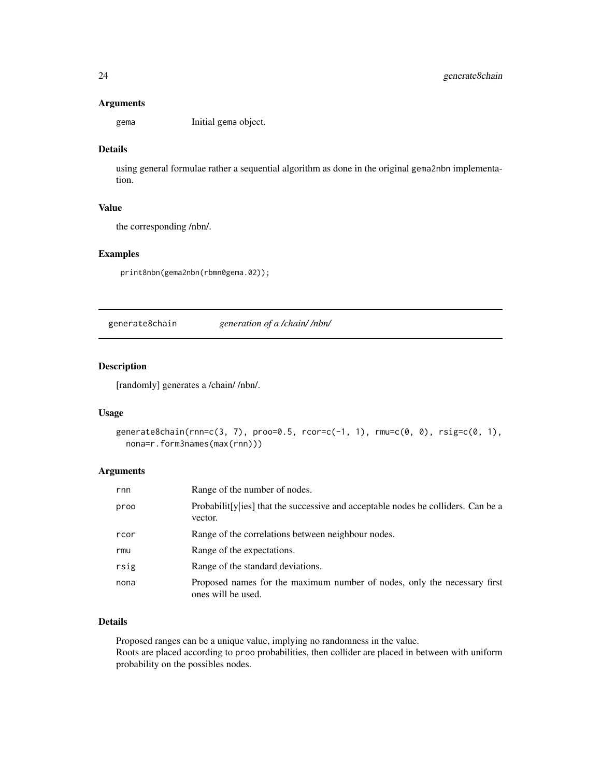#### Arguments

gema Initial gema object.

### Details

using general formulae rather a sequential algorithm as done in the original gema2nbn implementation.

### Value

the corresponding /nbn/.

### Examples

print8nbn(gema2nbn(rbmn0gema.02));

generate8chain *generation of a /chain/ /nbn/*

### Description

[randomly] generates a /chain/ /nbn/.

### Usage

```
generate8chain(rnn=c(3, 7), proo=0.5, rcor=c(-1, 1), rmu=c(0, 0), rsig=c(0, 1),
 nona=r.form3names(max(rnn)))
```
#### Arguments

| rnn  | Range of the number of nodes.                                                                            |
|------|----------------------------------------------------------------------------------------------------------|
| proo | Probabilit [y  $\text{ies}$ ] that the successive and acceptable nodes be colliders. Can be a<br>vector. |
| rcor | Range of the correlations between neighbour nodes.                                                       |
| rmu  | Range of the expectations.                                                                               |
| rsig | Range of the standard deviations.                                                                        |
| nona | Proposed names for the maximum number of nodes, only the necessary first<br>ones will be used.           |

### Details

Proposed ranges can be a unique value, implying no randomness in the value. Roots are placed according to proo probabilities, then collider are placed in between with uniform probability on the possibles nodes.

<span id="page-23-0"></span>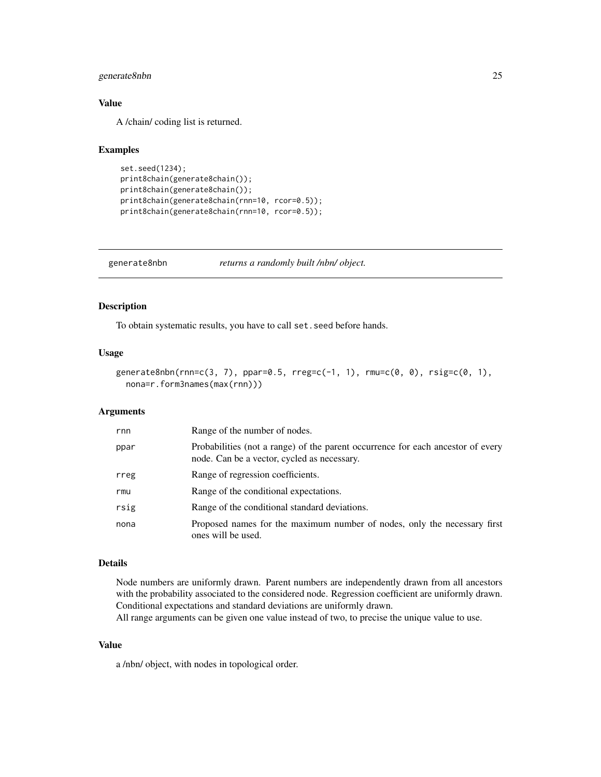### <span id="page-24-0"></span>generate8nbn 25

### Value

A /chain/ coding list is returned.

#### Examples

```
set.seed(1234);
print8chain(generate8chain());
print8chain(generate8chain());
print8chain(generate8chain(rnn=10, rcor=0.5));
print8chain(generate8chain(rnn=10, rcor=0.5));
```
generate8nbn *returns a randomly built /nbn/ object.*

### Description

To obtain systematic results, you have to call set.seed before hands.

#### Usage

```
generate8nbn(rnn=c(3, 7), ppar=0.5, rreg=c(-1, 1), rmu=c(0, 0), rsig=c(0, 1),
 nona=r.form3names(max(rnn)))
```
#### Arguments

| rnn  | Range of the number of nodes.                                                                                                  |
|------|--------------------------------------------------------------------------------------------------------------------------------|
| ppar | Probabilities (not a range) of the parent occurrence for each ancestor of every<br>node. Can be a vector, cycled as necessary. |
| rreg | Range of regression coefficients.                                                                                              |
| rmu  | Range of the conditional expectations.                                                                                         |
| rsig | Range of the conditional standard deviations.                                                                                  |
| nona | Proposed names for the maximum number of nodes, only the necessary first<br>ones will be used.                                 |

#### Details

Node numbers are uniformly drawn. Parent numbers are independently drawn from all ancestors with the probability associated to the considered node. Regression coefficient are uniformly drawn. Conditional expectations and standard deviations are uniformly drawn.

All range arguments can be given one value instead of two, to precise the unique value to use.

#### Value

a /nbn/ object, with nodes in topological order.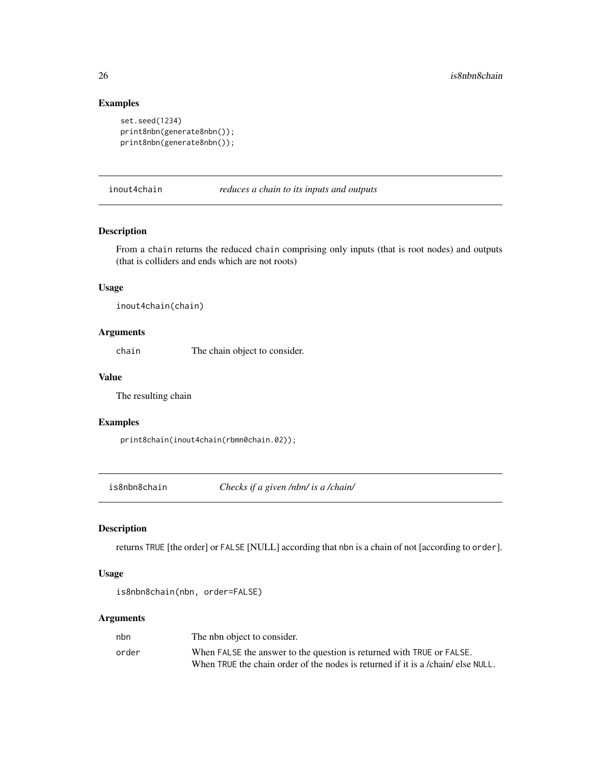### Examples

```
set.seed(1234)
print8nbn(generate8nbn());
print8nbn(generate8nbn());
```
inout4chain *reduces a chain to its inputs and outputs*

### Description

From a chain returns the reduced chain comprising only inputs (that is root nodes) and outputs (that is colliders and ends which are not roots)

#### Usage

inout4chain(chain)

### Arguments

chain The chain object to consider.

#### Value

The resulting chain

#### Examples

print8chain(inout4chain(rbmn0chain.02));

is8nbn8chain *Checks if a given /nbn/ is a /chain/*

### Description

returns TRUE [the order] or FALSE [NULL] according that nbn is a chain of not [according to order].

### Usage

```
is8nbn8chain(nbn, order=FALSE)
```
#### Arguments

| nbn   | The nbn object to consider.                                                      |
|-------|----------------------------------------------------------------------------------|
| order | When FALSE the answer to the question is returned with TRUE or FALSE.            |
|       | When TRUE the chain order of the nodes is returned if it is a /chain/ else NULL. |

<span id="page-25-0"></span>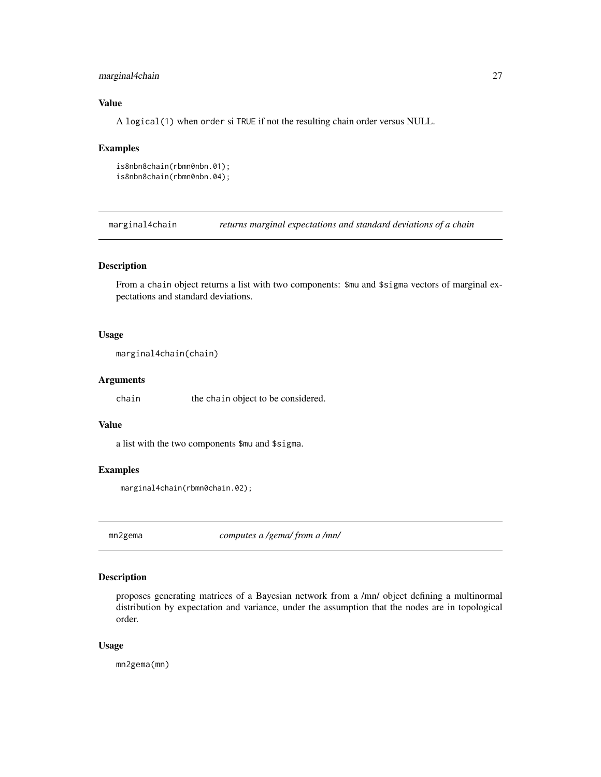### <span id="page-26-0"></span>marginal4chain 27

### Value

A logical(1) when order si TRUE if not the resulting chain order versus NULL.

#### Examples

```
is8nbn8chain(rbmn0nbn.01);
is8nbn8chain(rbmn0nbn.04);
```
marginal4chain *returns marginal expectations and standard deviations of a chain*

### Description

From a chain object returns a list with two components: \$mu and \$sigma vectors of marginal expectations and standard deviations.

### Usage

```
marginal4chain(chain)
```
### Arguments

chain the chain object to be considered.

#### Value

a list with the two components \$mu and \$sigma.

### Examples

marginal4chain(rbmn0chain.02);

mn2gema *computes a /gema/ from a /mn/*

### Description

proposes generating matrices of a Bayesian network from a /mn/ object defining a multinormal distribution by expectation and variance, under the assumption that the nodes are in topological order.

#### Usage

mn2gema(mn)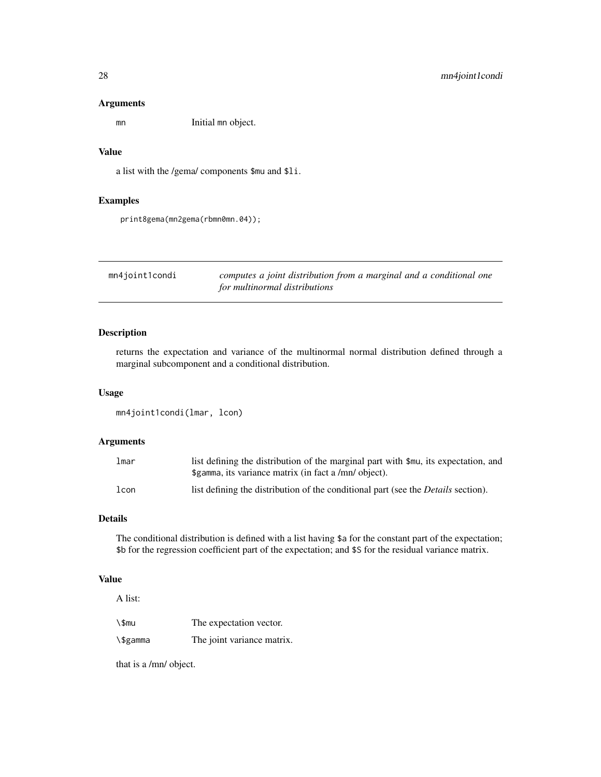#### <span id="page-27-0"></span>Arguments

mn Initial mn object.

### Value

a list with the /gema/ components \$mu and \$li.

#### Examples

```
print8gema(mn2gema(rbmn0mn.04));
```
mn4joint1condi *computes a joint distribution from a marginal and a conditional one for multinormal distributions*

### Description

returns the expectation and variance of the multinormal normal distribution defined through a marginal subcomponent and a conditional distribution.

#### Usage

```
mn4joint1condi(lmar, lcon)
```
### Arguments

| lmar | list defining the distribution of the marginal part with \$mu, its expectation, and<br>\$gamma, its variance matrix (in fact a /mn/ object). |
|------|----------------------------------------------------------------------------------------------------------------------------------------------|
| lcon | list defining the distribution of the conditional part (see the <i>Details</i> section).                                                     |

#### Details

The conditional distribution is defined with a list having \$a for the constant part of the expectation; \$b for the regression coefficient part of the expectation; and \$S for the residual variance matrix.

### Value

A list:

| ∖\$mu    | The expectation vector.    |
|----------|----------------------------|
| ∖\$gamma | The joint variance matrix. |

that is a /mn/ object.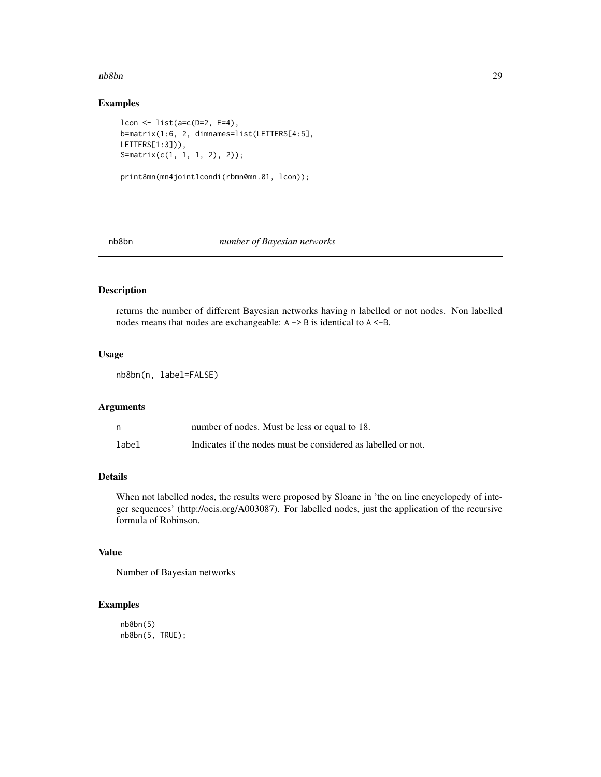#### <span id="page-28-0"></span>nb8bn 29

### Examples

```
lcon <- list(a=c(D=2, E=4),
b=matrix(1:6, 2, dimnames=list(LETTERS[4:5],
LETTERS[1:3])),
S=matrix(c(1, 1, 1, 2), 2));
print8mn(mn4joint1condi(rbmn0mn.01, lcon));
```
### nb8bn *number of Bayesian networks*

### Description

returns the number of different Bayesian networks having n labelled or not nodes. Non labelled nodes means that nodes are exchangeable: A -> B is identical to A <-B.

#### Usage

nb8bn(n, label=FALSE)

#### Arguments

|       | number of nodes. Must be less or equal to 18.                 |
|-------|---------------------------------------------------------------|
| label | Indicates if the nodes must be considered as labelled or not. |

### Details

When not labelled nodes, the results were proposed by Sloane in 'the on line encyclopedy of integer sequences' (http://oeis.org/A003087). For labelled nodes, just the application of the recursive formula of Robinson.

### Value

Number of Bayesian networks

### Examples

```
nb8bn(5)
nb8bn(5, TRUE);
```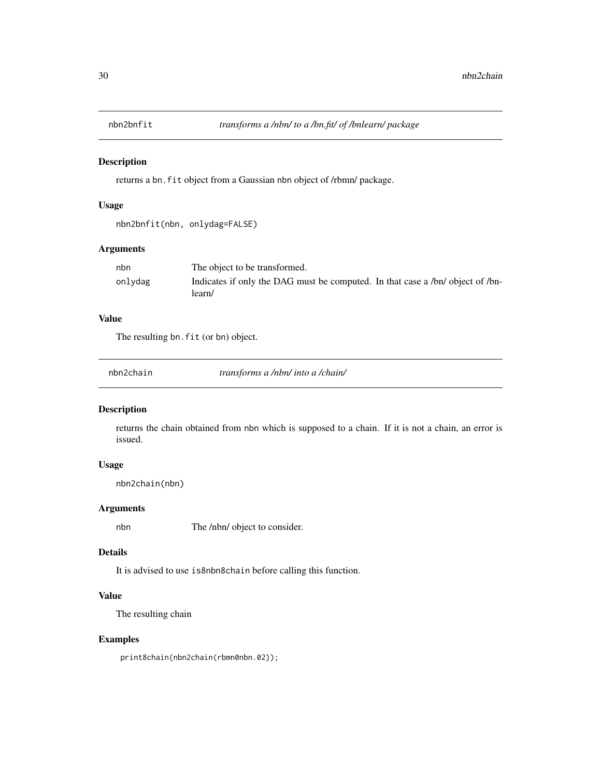<span id="page-29-0"></span>

returns a bn.fit object from a Gaussian nbn object of /rbmn/ package.

### Usage

```
nbn2bnfit(nbn, onlydag=FALSE)
```
### Arguments

| nbn     | The object to be transformed.                                                            |
|---------|------------------------------------------------------------------------------------------|
| onlydag | Indicates if only the DAG must be computed. In that case a /bn/ object of /bn-<br>learn/ |

### Value

The resulting bn.fit (or bn) object.

nbn2chain *transforms a /nbn/ into a /chain/*

### Description

returns the chain obtained from nbn which is supposed to a chain. If it is not a chain, an error is issued.

### Usage

nbn2chain(nbn)

### Arguments

nbn The /nbn/ object to consider.

#### Details

It is advised to use is8nbn8chain before calling this function.

#### Value

The resulting chain

### Examples

print8chain(nbn2chain(rbmn0nbn.02));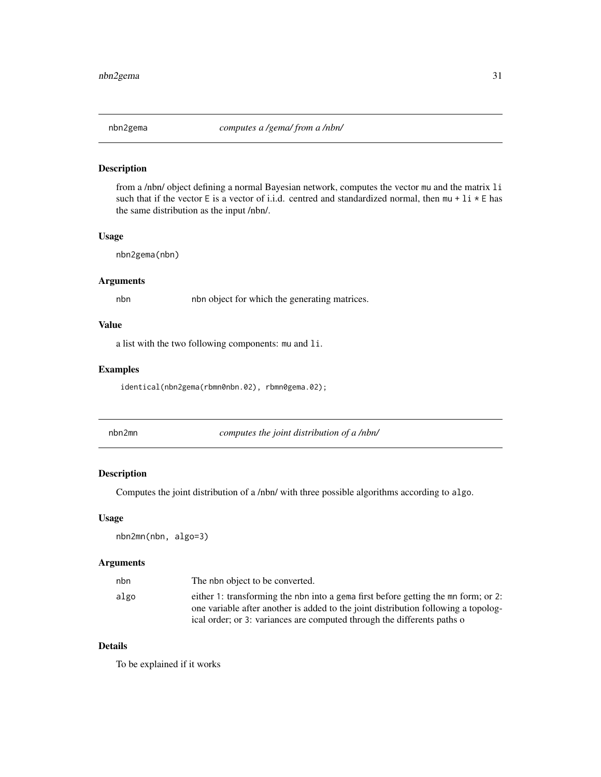<span id="page-30-0"></span>

from a /nbn/ object defining a normal Bayesian network, computes the vector mu and the matrix li such that if the vector E is a vector of i.i.d. centred and standardized normal, then  $mu + li * E$  has the same distribution as the input /nbn/.

### Usage

```
nbn2gema(nbn)
```
### Arguments

nbn nbn object for which the generating matrices.

### Value

a list with the two following components: mu and li.

### Examples

identical(nbn2gema(rbmn0nbn.02), rbmn0gema.02);

nbn2mn *computes the joint distribution of a /nbn/*

#### Description

Computes the joint distribution of a /nbn/ with three possible algorithms according to algo.

### Usage

nbn2mn(nbn, algo=3)

#### Arguments

| nbn  | The nbn object to be converted.                                                    |
|------|------------------------------------------------------------------------------------|
| algo | either 1: transforming the nbn into a gema first before getting the mn form; or 2: |
|      | one variable after another is added to the joint distribution following a topolog- |
|      | ical order; or 3: variances are computed through the differents paths of           |

### Details

To be explained if it works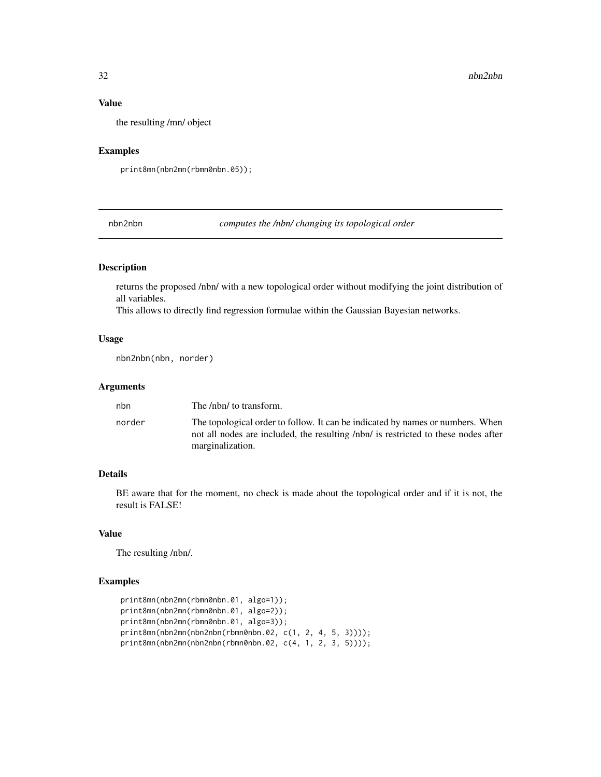### Value

the resulting /mn/ object

### Examples

```
print8mn(nbn2mn(rbmn0nbn.05));
```
nbn2nbn *computes the /nbn/ changing its topological order*

### Description

returns the proposed /nbn/ with a new topological order without modifying the joint distribution of all variables.

This allows to directly find regression formulae within the Gaussian Bayesian networks.

### Usage

nbn2nbn(nbn, norder)

#### Arguments

| nbn    | The /nbn/ to transform.                                                                                                                                                                  |
|--------|------------------------------------------------------------------------------------------------------------------------------------------------------------------------------------------|
| norder | The topological order to follow. It can be indicated by names or numbers. When<br>not all nodes are included, the resulting /nbn/ is restricted to these nodes after<br>marginalization. |

### Details

BE aware that for the moment, no check is made about the topological order and if it is not, the result is FALSE!

### Value

The resulting /nbn/.

### Examples

```
print8mn(nbn2mn(rbmn0nbn.01, algo=1));
print8mn(nbn2mn(rbmn0nbn.01, algo=2));
print8mn(nbn2mn(rbmn0nbn.01, algo=3));
print8mn(nbn2mn(nbn2nbn(rbmn0nbn.02, c(1, 2, 4, 5, 3))));
print8mn(nbn2mn(nbn2nbn(rbmn0nbn.02, c(4, 1, 2, 3, 5))));
```
<span id="page-31-0"></span>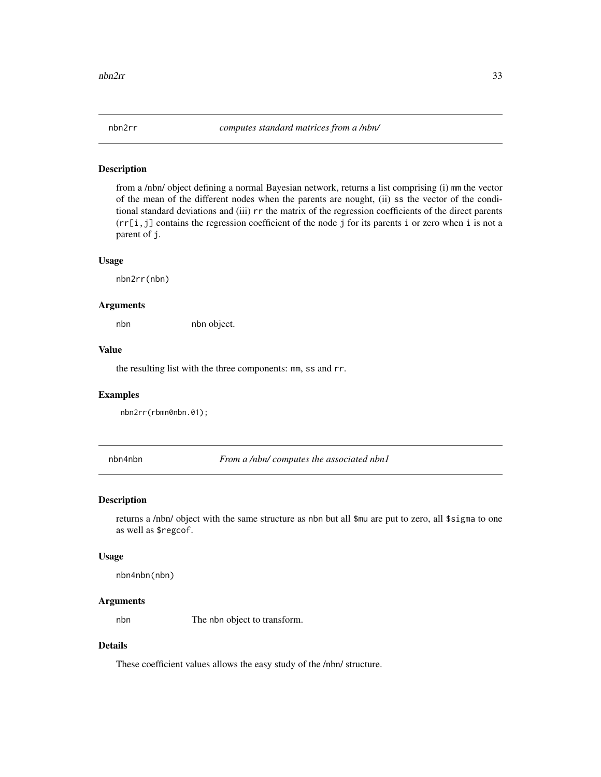<span id="page-32-0"></span>

from a /nbn/ object defining a normal Bayesian network, returns a list comprising (i) mm the vector of the mean of the different nodes when the parents are nought, (ii) ss the vector of the conditional standard deviations and (iii) rr the matrix of the regression coefficients of the direct parents  $(rr[i,j])$  contains the regression coefficient of the node j for its parents i or zero when i is not a parent of j.

#### Usage

nbn2rr(nbn)

#### Arguments

nbn nbn object.

#### Value

the resulting list with the three components: mm, ss and rr.

#### Examples

nbn2rr(rbmn0nbn.01);

nbn4nbn *From a /nbn/ computes the associated nbn1*

#### Description

returns a /nbn/ object with the same structure as nbn but all \$mu are put to zero, all \$sigma to one as well as \$regcof.

#### Usage

nbn4nbn(nbn)

#### Arguments

nbn The nbn object to transform.

### Details

These coefficient values allows the easy study of the /nbn/ structure.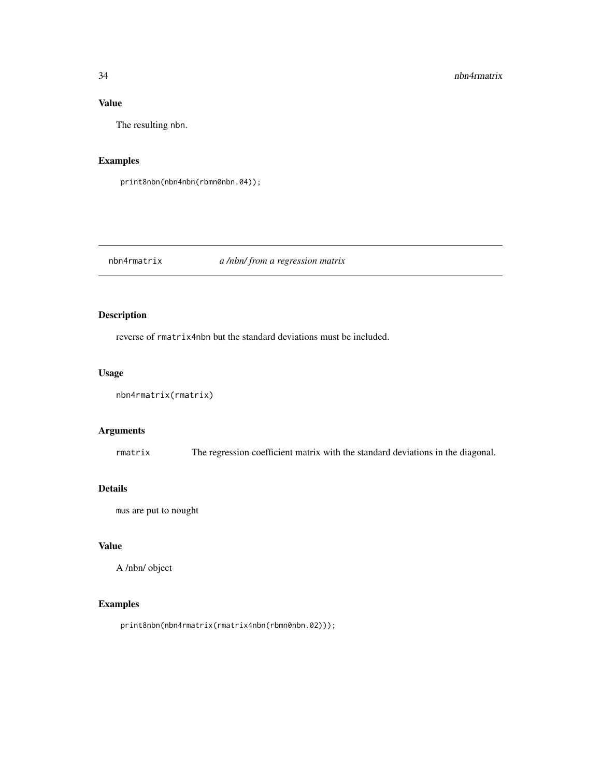### <span id="page-33-0"></span>Value

The resulting nbn.

### Examples

```
print8nbn(nbn4nbn(rbmn0nbn.04));
```
### nbn4rmatrix *a /nbn/ from a regression matrix*

### Description

reverse of rmatrix4nbn but the standard deviations must be included.

### Usage

```
nbn4rmatrix(rmatrix)
```
### Arguments

rmatrix The regression coefficient matrix with the standard deviations in the diagonal.

### Details

mus are put to nought

### Value

A /nbn/ object

### Examples

print8nbn(nbn4rmatrix(rmatrix4nbn(rbmn0nbn.02)));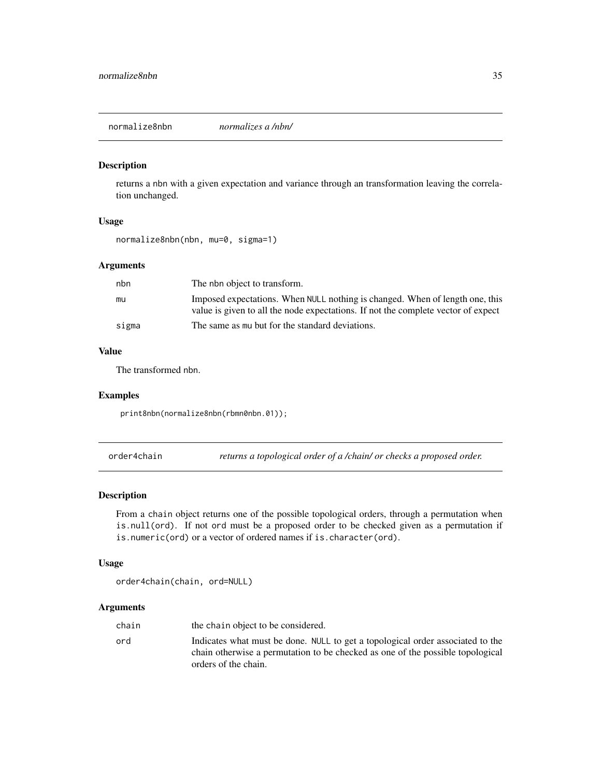<span id="page-34-0"></span>normalize8nbn *normalizes a /nbn/*

#### Description

returns a nbn with a given expectation and variance through an transformation leaving the correlation unchanged.

### Usage

```
normalize8nbn(nbn, mu=0, sigma=1)
```
### Arguments

| nbn   | The nbn object to transform.                                                                                                                                      |
|-------|-------------------------------------------------------------------------------------------------------------------------------------------------------------------|
| mu    | Imposed expectations. When NULL nothing is changed. When of length one, this<br>value is given to all the node expectations. If not the complete vector of expect |
| sigma | The same as mu but for the standard deviations.                                                                                                                   |

### Value

The transformed nbn.

#### Examples

print8nbn(normalize8nbn(rbmn0nbn.01));

order4chain *returns a topological order of a /chain/ or checks a proposed order.*

### Description

From a chain object returns one of the possible topological orders, through a permutation when is.null(ord). If not ord must be a proposed order to be checked given as a permutation if is.numeric(ord) or a vector of ordered names if is.character(ord).

#### Usage

```
order4chain(chain, ord=NULL)
```
### Arguments

| chain | the chain object to be considered.                                                                                                                                                       |
|-------|------------------------------------------------------------------------------------------------------------------------------------------------------------------------------------------|
| ord   | Indicates what must be done. NULL to get a topological order associated to the<br>chain otherwise a permutation to be checked as one of the possible topological<br>orders of the chain. |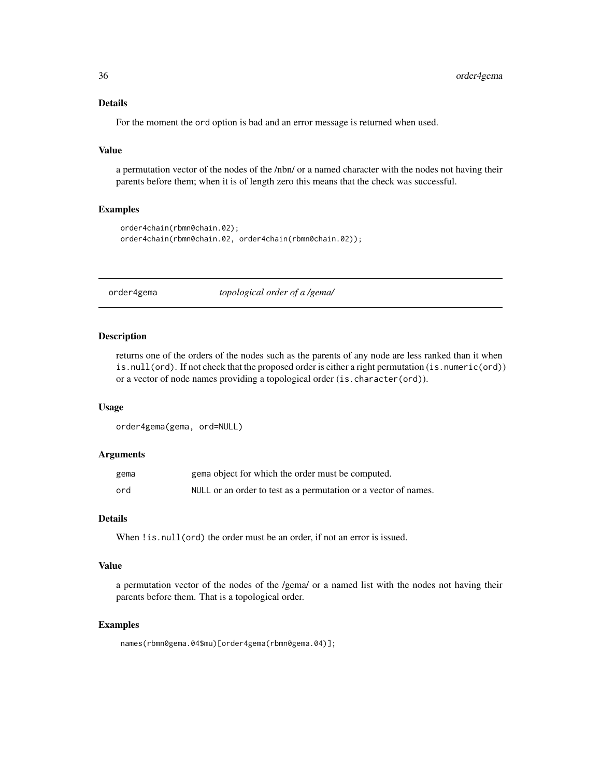### Details

For the moment the ord option is bad and an error message is returned when used.

#### Value

a permutation vector of the nodes of the /nbn/ or a named character with the nodes not having their parents before them; when it is of length zero this means that the check was successful.

### Examples

```
order4chain(rbmn0chain.02);
order4chain(rbmn0chain.02, order4chain(rbmn0chain.02));
```
order4gema *topological order of a /gema/*

#### Description

returns one of the orders of the nodes such as the parents of any node are less ranked than it when is.null(ord). If not check that the proposed order is either a right permutation (is.numeric(ord)) or a vector of node names providing a topological order (is.character(ord)).

#### Usage

```
order4gema(gema, ord=NULL)
```
#### Arguments

| gema | gema object for which the order must be computed.               |
|------|-----------------------------------------------------------------|
| ord  | NULL or an order to test as a permutation or a vector of names. |

#### Details

When ! is. null(ord) the order must be an order, if not an error is issued.

### Value

a permutation vector of the nodes of the /gema/ or a named list with the nodes not having their parents before them. That is a topological order.

#### Examples

names(rbmn0gema.04\$mu)[order4gema(rbmn0gema.04)];

<span id="page-35-0"></span>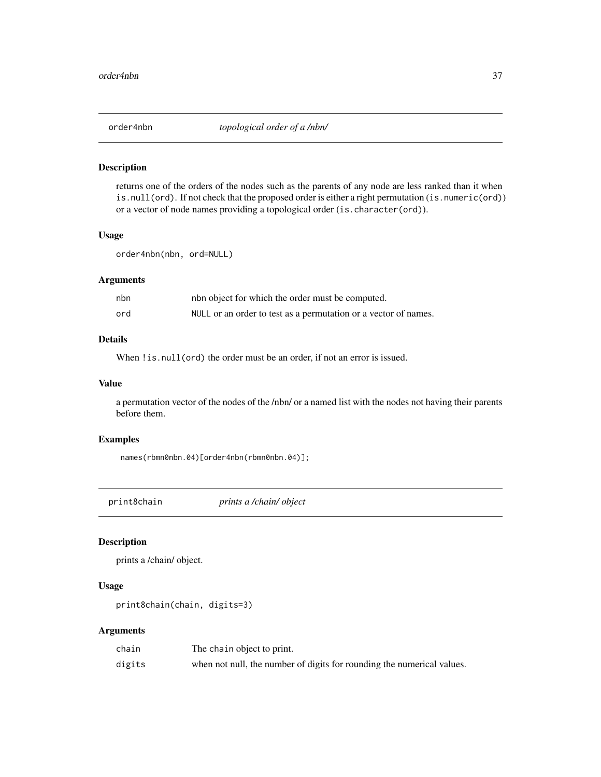<span id="page-36-0"></span>

returns one of the orders of the nodes such as the parents of any node are less ranked than it when is.null(ord). If not check that the proposed order is either a right permutation (is.numeric(ord)) or a vector of node names providing a topological order (is.character(ord)).

#### Usage

order4nbn(nbn, ord=NULL)

#### Arguments

| nbn | nbn object for which the order must be computed.                |
|-----|-----------------------------------------------------------------|
| ord | NULL or an order to test as a permutation or a vector of names. |

### Details

When ! is. null(ord) the order must be an order, if not an error is issued.

#### Value

a permutation vector of the nodes of the /nbn/ or a named list with the nodes not having their parents before them.

#### Examples

names(rbmn0nbn.04)[order4nbn(rbmn0nbn.04)];

print8chain *prints a /chain/ object*

### Description

prints a /chain/ object.

### Usage

print8chain(chain, digits=3)

### Arguments

| chain  | The chain object to print.                                             |
|--------|------------------------------------------------------------------------|
| digits | when not null, the number of digits for rounding the numerical values. |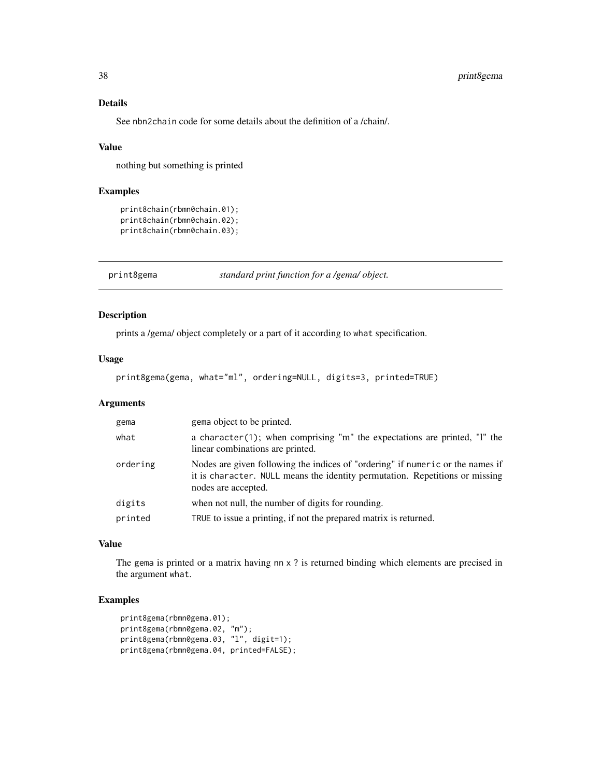### Details

See nbn2chain code for some details about the definition of a /chain/.

#### Value

nothing but something is printed

#### Examples

```
print8chain(rbmn0chain.01);
print8chain(rbmn0chain.02);
print8chain(rbmn0chain.03);
```
print8gema *standard print function for a /gema/ object.*

### Description

prints a /gema/ object completely or a part of it according to what specification.

#### Usage

```
print8gema(gema, what="ml", ordering=NULL, digits=3, printed=TRUE)
```
### Arguments

| gema     | gema object to be printed.                                                                                                                                                            |
|----------|---------------------------------------------------------------------------------------------------------------------------------------------------------------------------------------|
| what     | a character(1); when comprising "m" the expectations are printed, "I" the<br>linear combinations are printed.                                                                         |
| ordering | Nodes are given following the indices of "ordering" if numeric or the names if<br>it is character. NULL means the identity permutation. Repetitions or missing<br>nodes are accepted. |
| digits   | when not null, the number of digits for rounding.                                                                                                                                     |
| printed  | TRUE to issue a printing, if not the prepared matrix is returned.                                                                                                                     |

### Value

The gema is printed or a matrix having nn x ? is returned binding which elements are precised in the argument what.

### Examples

```
print8gema(rbmn0gema.01);
print8gema(rbmn0gema.02, "m");
print8gema(rbmn0gema.03, "l", digit=1);
print8gema(rbmn0gema.04, printed=FALSE);
```
<span id="page-37-0"></span>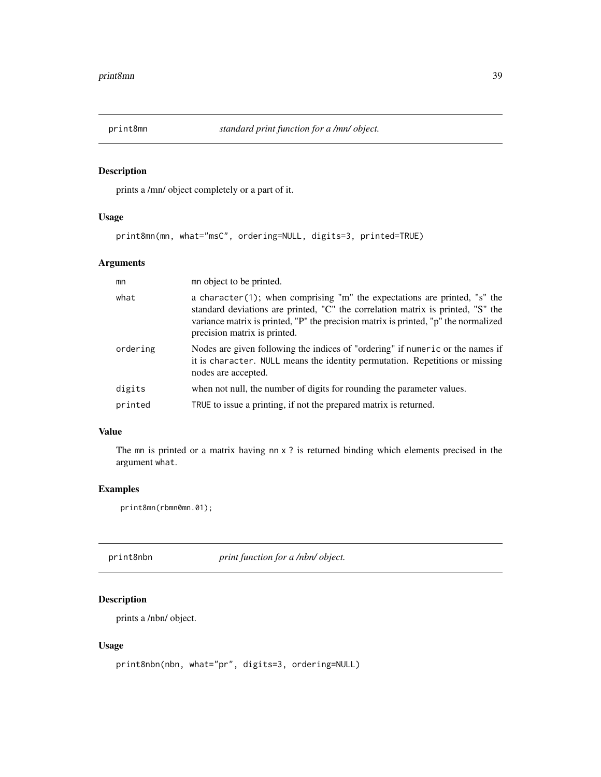<span id="page-38-0"></span>

prints a /mn/ object completely or a part of it.

### Usage

print8mn(mn, what="msC", ordering=NULL, digits=3, printed=TRUE)

### Arguments

| mn       | m object to be printed.                                                                                                                                                                                                                                                             |
|----------|-------------------------------------------------------------------------------------------------------------------------------------------------------------------------------------------------------------------------------------------------------------------------------------|
| what     | a character(1); when comprising "m" the expectations are printed, "s" the<br>standard deviations are printed, "C" the correlation matrix is printed, "S" the<br>variance matrix is printed, "P" the precision matrix is printed, "p" the normalized<br>precision matrix is printed. |
| ordering | Nodes are given following the indices of "ordering" if numeric or the names if<br>it is character. NULL means the identity permutation. Repetitions or missing<br>nodes are accepted.                                                                                               |
| digits   | when not null, the number of digits for rounding the parameter values.                                                                                                                                                                                                              |
| printed  | TRUE to issue a printing, if not the prepared matrix is returned.                                                                                                                                                                                                                   |

### Value

The mn is printed or a matrix having nn x ? is returned binding which elements precised in the argument what.

#### Examples

print8mn(rbmn0mn.01);

print8nbn *print function for a /nbn/ object.*

### Description

prints a /nbn/ object.

### Usage

```
print8nbn(nbn, what="pr", digits=3, ordering=NULL)
```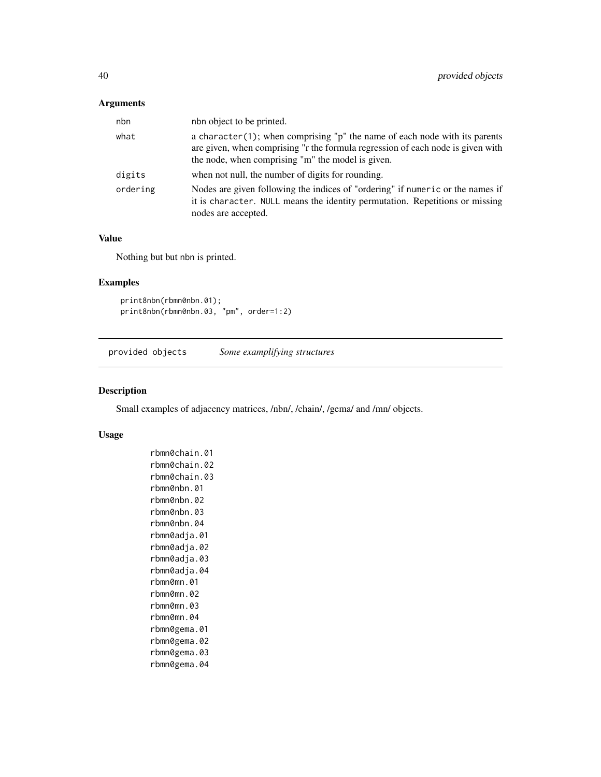### <span id="page-39-0"></span>Arguments

| nbn object to be printed.                                                                                                                                                                                              |
|------------------------------------------------------------------------------------------------------------------------------------------------------------------------------------------------------------------------|
| a character $(1)$ ; when comprising "p" the name of each node with its parents<br>are given, when comprising "r the formula regression of each node is given with<br>the node, when comprising "m" the model is given. |
| when not null, the number of digits for rounding.                                                                                                                                                                      |
| Nodes are given following the indices of "ordering" if numeric or the names if<br>it is character. NULL means the identity permutation. Repetitions or missing<br>nodes are accepted.                                  |
|                                                                                                                                                                                                                        |

### Value

Nothing but but nbn is printed.

### Examples

```
print8nbn(rbmn0nbn.01);
print8nbn(rbmn0nbn.03, "pm", order=1:2)
```
provided objects *Some examplifying structures*

#### Description

Small examples of adjacency matrices, /nbn/, /chain/, /gema/ and /mn/ objects.

#### Usage

```
rbmn0chain.01
rbmn0chain.02
rbmn0chain.03
rbmn0nbn.01
rbmn0nbn.02
rbmn0nbn.03
rbmn0nbn.04
rbmn0adja.01
rbmn0adja.02
rbmn0adja.03
rbmn0adja.04
rbmn0mn.01
rbmn0mn.02
rbmn0mn.03
rbmn0mn.04
rbmn0gema.01
rbmn0gema.02
rbmn0gema.03
rbmn0gema.04
```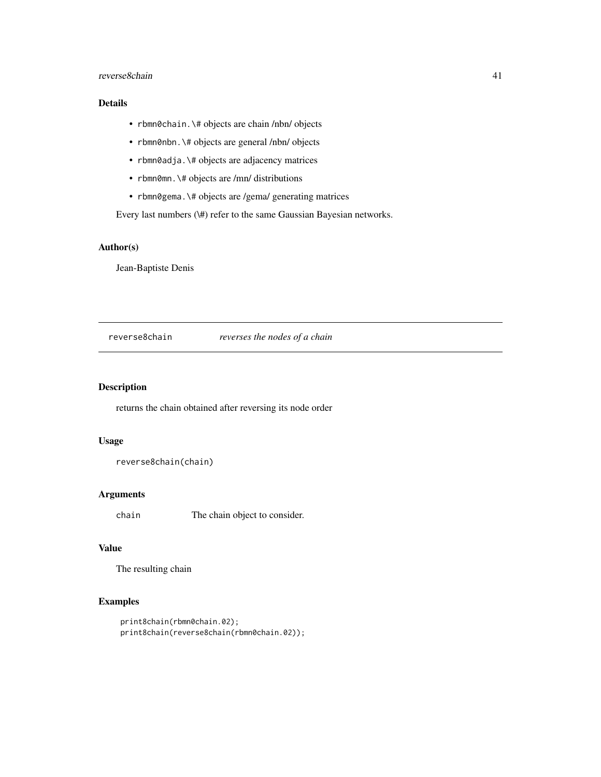### <span id="page-40-0"></span>reverse8chain 41

### Details

- rbmn0chain.\# objects are chain /nbn/ objects
- rbmn0nbn.\# objects are general /nbn/ objects
- rbmn0adja.\# objects are adjacency matrices
- rbmn0mn. \# objects are /mn/ distributions
- rbmn0gema. \# objects are /gema/ generating matrices

Every last numbers (\#) refer to the same Gaussian Bayesian networks.

### Author(s)

Jean-Baptiste Denis

reverse8chain *reverses the nodes of a chain*

### Description

returns the chain obtained after reversing its node order

### Usage

reverse8chain(chain)

### Arguments

chain The chain object to consider.

### Value

The resulting chain

### Examples

```
print8chain(rbmn0chain.02);
print8chain(reverse8chain(rbmn0chain.02));
```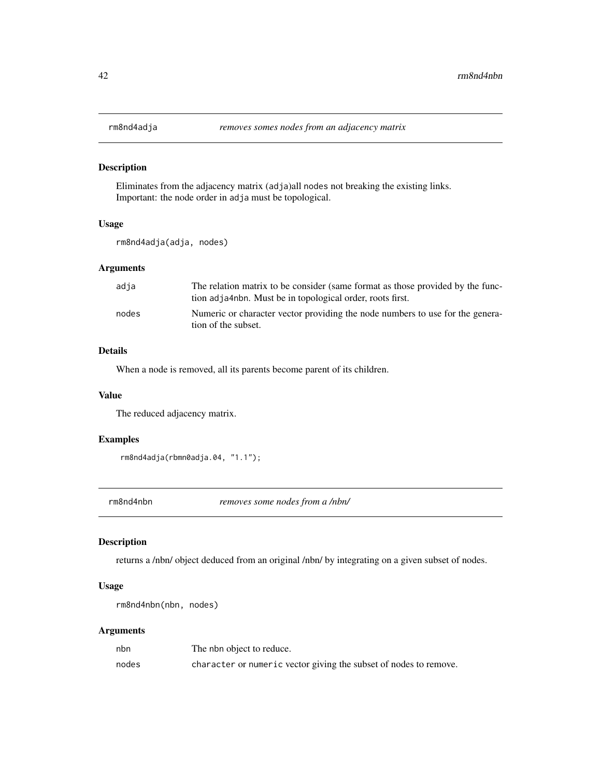<span id="page-41-0"></span>

Eliminates from the adjacency matrix (adja)all nodes not breaking the existing links. Important: the node order in adja must be topological.

### Usage

rm8nd4adja(adja, nodes)

### Arguments

| adja  | The relation matrix to be consider (same format as those provided by the func-<br>tion adja4nbn. Must be in topological order, roots first. |
|-------|---------------------------------------------------------------------------------------------------------------------------------------------|
| nodes | Numeric or character vector providing the node numbers to use for the genera-<br>tion of the subset.                                        |

### Details

When a node is removed, all its parents become parent of its children.

#### Value

The reduced adjacency matrix.

### Examples

```
rm8nd4adja(rbmn0adja.04, "1.1");
```
rm8nd4nbn *removes some nodes from a /nbn/*

### Description

returns a /nbn/ object deduced from an original /nbn/ by integrating on a given subset of nodes.

### Usage

```
rm8nd4nbn(nbn, nodes)
```
### Arguments

| nbn   | The nbn object to reduce.                                         |
|-------|-------------------------------------------------------------------|
| nodes | character or numeric vector giving the subset of nodes to remove. |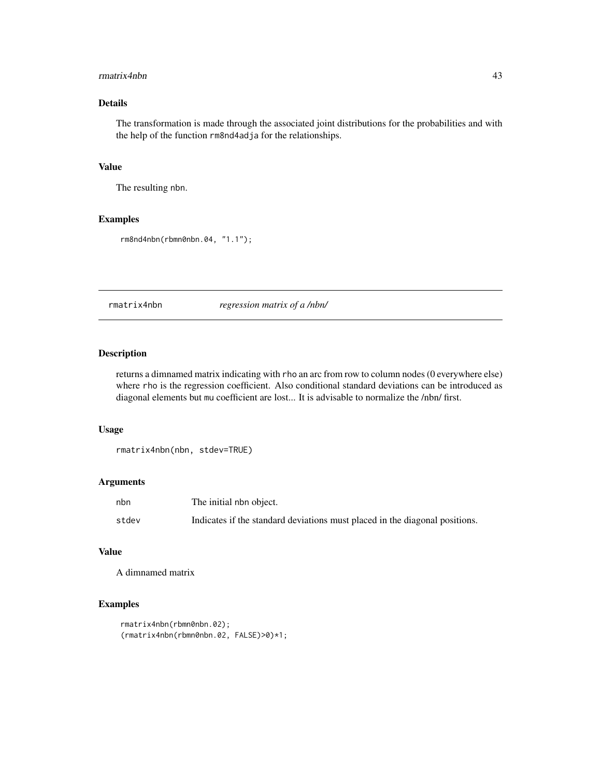#### <span id="page-42-0"></span>rmatrix4nbn 43

### Details

The transformation is made through the associated joint distributions for the probabilities and with the help of the function rm8nd4adja for the relationships.

### Value

The resulting nbn.

#### Examples

```
rm8nd4nbn(rbmn0nbn.04, "1.1");
```
rmatrix4nbn *regression matrix of a /nbn/*

### Description

returns a dimnamed matrix indicating with rho an arc from row to column nodes (0 everywhere else) where rho is the regression coefficient. Also conditional standard deviations can be introduced as diagonal elements but mu coefficient are lost... It is advisable to normalize the /nbn/ first.

#### Usage

rmatrix4nbn(nbn, stdev=TRUE)

#### Arguments

| nbn   | The initial nbn object.                                                     |
|-------|-----------------------------------------------------------------------------|
| stdev | Indicates if the standard deviations must placed in the diagonal positions. |

### Value

A dimnamed matrix

### Examples

```
rmatrix4nbn(rbmn0nbn.02);
(rmatrix4nbn(rbmn0nbn.02, FALSE)>0)*1;
```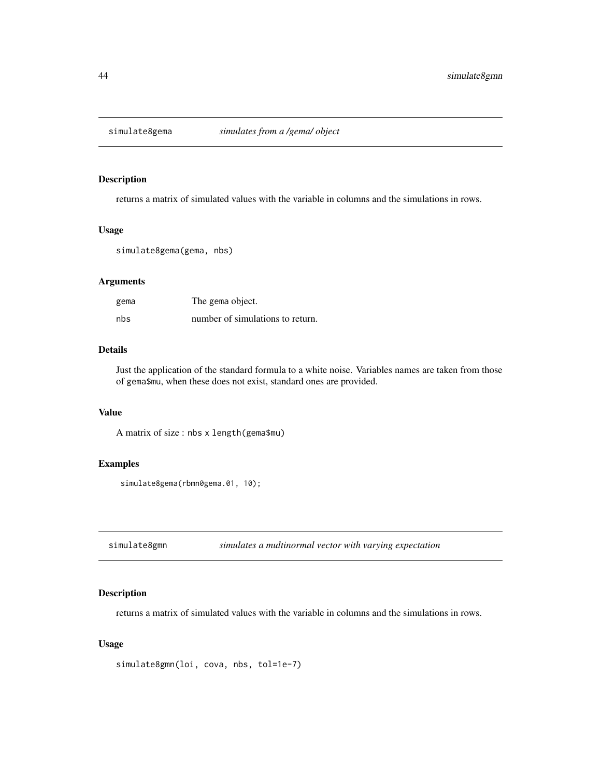<span id="page-43-0"></span>

returns a matrix of simulated values with the variable in columns and the simulations in rows.

#### Usage

```
simulate8gema(gema, nbs)
```
### Arguments

| gema | The gema object.                 |
|------|----------------------------------|
| nbs  | number of simulations to return. |

### Details

Just the application of the standard formula to a white noise. Variables names are taken from those of gema\$mu, when these does not exist, standard ones are provided.

#### Value

A matrix of size : nbs x length(gema\$mu)

### Examples

simulate8gema(rbmn0gema.01, 10);

simulate8gmn *simulates a multinormal vector with varying expectation*

### Description

returns a matrix of simulated values with the variable in columns and the simulations in rows.

#### Usage

```
simulate8gmn(loi, cova, nbs, tol=1e-7)
```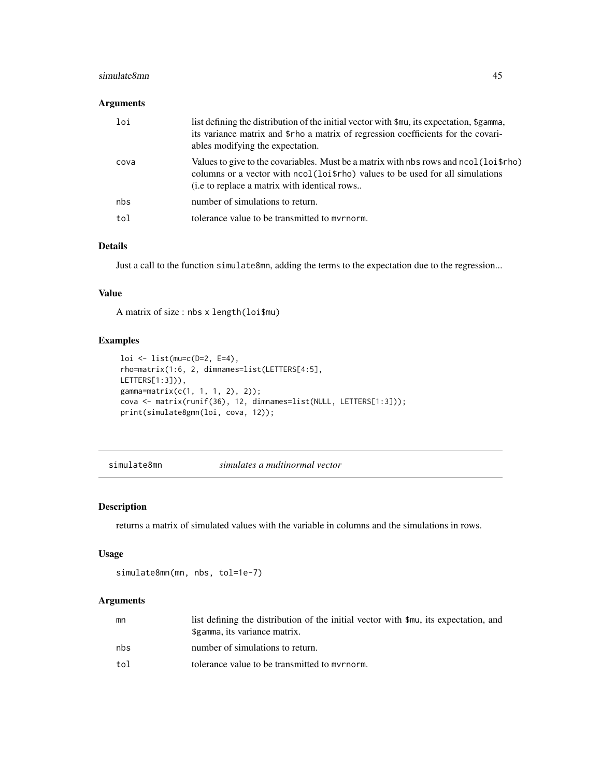### <span id="page-44-0"></span>simulate8mn 45

### Arguments

| loi  | list defining the distribution of the initial vector with $\mathfrak{Sm}$ u, its expectation, \$gamma,<br>its variance matrix and \$rho a matrix of regression coefficients for the covari-<br>ables modifying the expectation. |
|------|---------------------------------------------------------------------------------------------------------------------------------------------------------------------------------------------------------------------------------|
| cova | Values to give to the covariables. Must be a matrix with nbs rows and $ncol (loifrho)$<br>columns or a vector with not colours to be used for all simulations<br>(i.e to replace a matrix with identical rows                   |
| nbs  | number of simulations to return.                                                                                                                                                                                                |
| tol  | tolerance value to be transmitted to myrnorm.                                                                                                                                                                                   |

### Details

Just a call to the function simulate8mn, adding the terms to the expectation due to the regression...

#### Value

A matrix of size : nbs x length(loi\$mu)

### Examples

```
loi <- list(mu=c(D=2, E=4),
rho=matrix(1:6, 2, dimnames=list(LETTERS[4:5],
LETTERS[1:3])),
gamma=matrix(c(1, 1, 1, 2), 2));
cova <- matrix(runif(36), 12, dimnames=list(NULL, LETTERS[1:3]));
print(simulate8gmn(loi, cova, 12));
```
simulate8mn *simulates a multinormal vector*

#### Description

returns a matrix of simulated values with the variable in columns and the simulations in rows.

#### Usage

simulate8mn(mn, nbs, tol=1e-7)

### Arguments

| mn  | list defining the distribution of the initial vector with \$mu, its expectation, and<br>\$gamma, its variance matrix. |
|-----|-----------------------------------------------------------------------------------------------------------------------|
| nbs | number of simulations to return.                                                                                      |
| tol | tolerance value to be transmitted to myrnorm.                                                                         |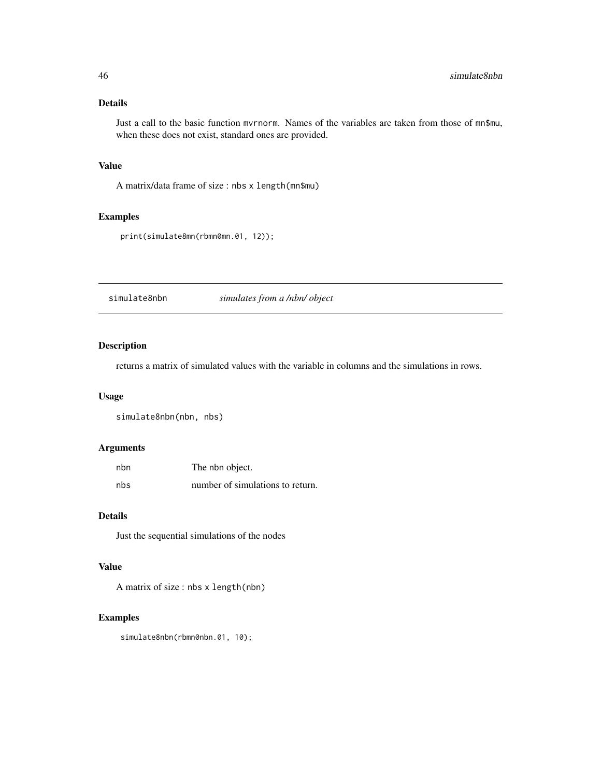### <span id="page-45-0"></span>Details

Just a call to the basic function mvrnorm. Names of the variables are taken from those of mn\$mu, when these does not exist, standard ones are provided.

#### Value

A matrix/data frame of size : nbs x length(mn\$mu)

### Examples

print(simulate8mn(rbmn0mn.01, 12));

simulate8nbn *simulates from a /nbn/ object*

### Description

returns a matrix of simulated values with the variable in columns and the simulations in rows.

#### Usage

simulate8nbn(nbn, nbs)

### Arguments

| nbn | The nbn object.                  |
|-----|----------------------------------|
| nbs | number of simulations to return. |

### Details

Just the sequential simulations of the nodes

### Value

A matrix of size : nbs x length(nbn)

#### Examples

simulate8nbn(rbmn0nbn.01, 10);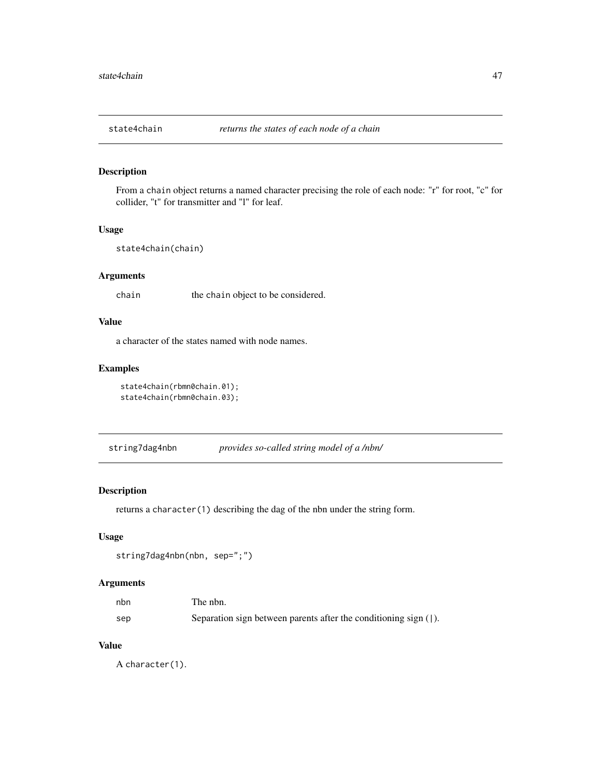<span id="page-46-0"></span>

From a chain object returns a named character precising the role of each node: "r" for root, "c" for collider, "t" for transmitter and "l" for leaf.

#### Usage

```
state4chain(chain)
```
### Arguments

chain the chain object to be considered.

### Value

a character of the states named with node names.

### Examples

```
state4chain(rbmn0chain.01);
state4chain(rbmn0chain.03);
```
string7dag4nbn *provides so-called string model of a /nbn/*

### Description

returns a character(1) describing the dag of the nbn under the string form.

### Usage

```
string7dag4nbn(nbn, sep=";")
```
### Arguments

| nbn | The nbn.                                                           |
|-----|--------------------------------------------------------------------|
| sep | Separation sign between parents after the conditioning sign $($ ]. |

### Value

A character(1).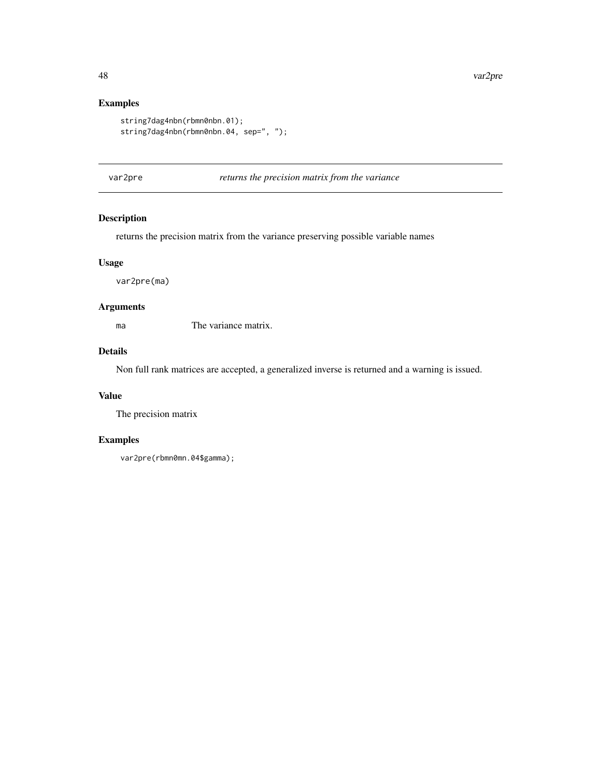### Examples

```
string7dag4nbn(rbmn0nbn.01);
string7dag4nbn(rbmn0nbn.04, sep=", ");
```
var2pre *returns the precision matrix from the variance*

### Description

returns the precision matrix from the variance preserving possible variable names

### Usage

var2pre(ma)

### Arguments

ma The variance matrix.

### Details

Non full rank matrices are accepted, a generalized inverse is returned and a warning is issued.

#### Value

The precision matrix

### Examples

```
var2pre(rbmn0mn.04$gamma);
```
<span id="page-47-0"></span>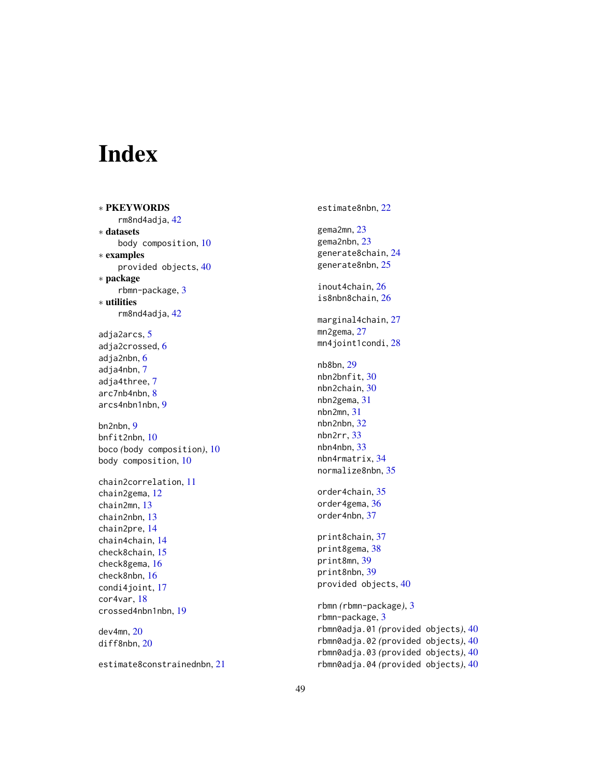# <span id="page-48-0"></span>Index

∗ PKEYWORDS rm8nd4adja , [42](#page-41-0) ∗ datasets body composition , [10](#page-9-0) ∗ examples provided objects , [40](#page-39-0) ∗ package rbmn-package , [3](#page-2-0) ∗ utilities rm8nd4adja , [42](#page-41-0) adja2arcs , [5](#page-4-0) adja2crossed, [6](#page-5-0) adja2nbn , [6](#page-5-0) adja4nbn , [7](#page-6-0) adja4three , [7](#page-6-0) arc7nb4nbn, [8](#page-7-0) arcs4nbn1nbn , [9](#page-8-0) bn2nbn , [9](#page-8-0) bnfit2nbn , [10](#page-9-0) boco *(*body composition *)* , [10](#page-9-0) body composition , [10](#page-9-0) chain2correlation , [11](#page-10-0) chain2gema , [12](#page-11-0) chain2mn , [13](#page-12-0) chain2nbn , [13](#page-12-0) chain2pre , [14](#page-13-0) chain4chain , [14](#page-13-0) check8chain , [15](#page-14-0) check8gema , [16](#page-15-0) check8nbn , [16](#page-15-0) condi4joint , [17](#page-16-0) cor4var , [18](#page-17-0) crossed4nbn1nbn , [19](#page-18-0) dev4mn , [20](#page-19-0) diff8nbn , [20](#page-19-0)

estimate8constrainednbn , [21](#page-20-0)

estimate8nbn , [22](#page-21-0) gema2mn , [23](#page-22-0) gema2nbn , [23](#page-22-0) generate8chain , [24](#page-23-0) generate8nbn , [25](#page-24-0) inout4chain , [26](#page-25-0) is8nbn8chain , [26](#page-25-0) marginal4chain, [27](#page-26-0) mn2gema, [27](#page-26-0) mn4joint1condi,2<mark>8</mark> nb8bn , [29](#page-28-0) nbn2bnfit , [30](#page-29-0) nbn2chain , [30](#page-29-0) nbn2gema , [31](#page-30-0) nbn2mn , [31](#page-30-0) nbn2nbn , [32](#page-31-0) nbn2rr , [33](#page-32-0) nbn4nbn , [33](#page-32-0) nbn4rmatrix , [34](#page-33-0) normalize8nbn , [35](#page-34-0) order4chain , [35](#page-34-0) order4gema , [36](#page-35-0) order4nbn , [37](#page-36-0) print8chain , [37](#page-36-0) print8gema , [38](#page-37-0) print8mn , [39](#page-38-0) print8nbn , [39](#page-38-0) provided objects , [40](#page-39-0) rbmn *(*rbmn-package *)* , [3](#page-2-0) rbmn-package , [3](#page-2-0) rbmn0adja.01 *(*provided objects *)* , [40](#page-39-0) rbmn0adja.02 *(*provided objects *)* , [40](#page-39-0) rbmn0adja.03 *(*provided objects *)* , [40](#page-39-0) rbmn0adja.04 *(*provided objects *)* , [40](#page-39-0)